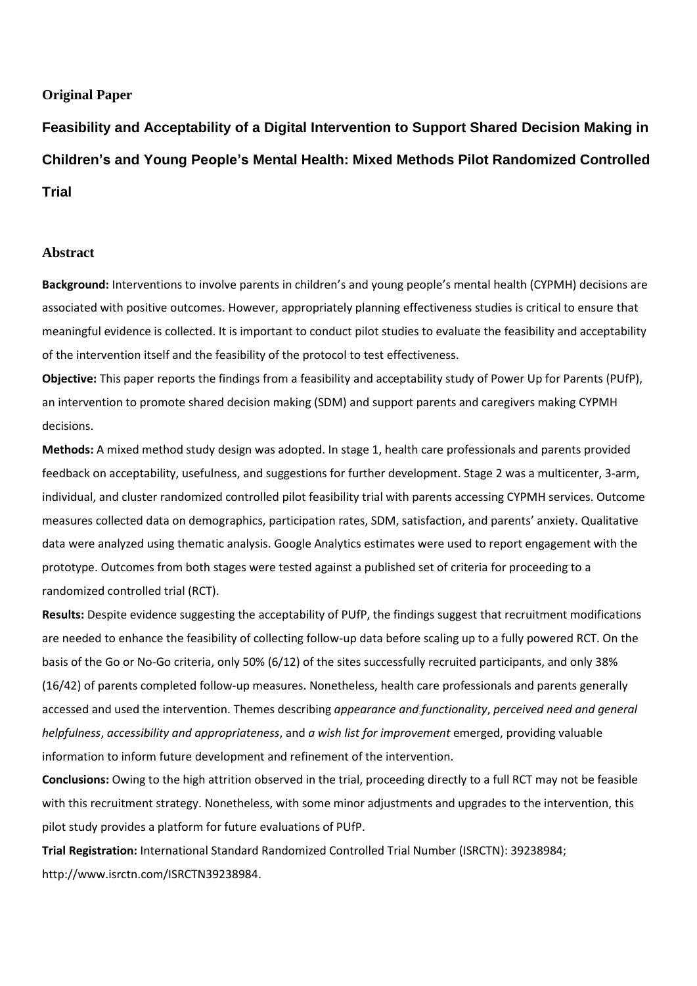# **Original Paper**

**Feasibility and Acceptability of a Digital Intervention to Support Shared Decision Making in Children's and Young People's Mental Health: Mixed Methods Pilot Randomized Controlled Trial**

# **Abstract**

**Background:** Interventions to involve parents in children's and young people's mental health (CYPMH) decisions are associated with positive outcomes. However, appropriately planning effectiveness studies is critical to ensure that meaningful evidence is collected. It is important to conduct pilot studies to evaluate the feasibility and acceptability of the intervention itself and the feasibility of the protocol to test effectiveness.

**Objective:** This paper reports the findings from a feasibility and acceptability study of Power Up for Parents (PUfP), an intervention to promote shared decision making (SDM) and support parents and caregivers making CYPMH decisions.

**Methods:** A mixed method study design was adopted. In stage 1, health care professionals and parents provided feedback on acceptability, usefulness, and suggestions for further development. Stage 2 was a multicenter, 3-arm, individual, and cluster randomized controlled pilot feasibility trial with parents accessing CYPMH services. Outcome measures collected data on demographics, participation rates, SDM, satisfaction, and parents' anxiety. Qualitative data were analyzed using thematic analysis. Google Analytics estimates were used to report engagement with the prototype. Outcomes from both stages were tested against a published set of criteria for proceeding to a randomized controlled trial (RCT).

**Results:** Despite evidence suggesting the acceptability of PUfP, the findings suggest that recruitment modifications are needed to enhance the feasibility of collecting follow-up data before scaling up to a fully powered RCT. On the basis of the Go or No-Go criteria, only 50% (6/12) of the sites successfully recruited participants, and only 38% (16/42) of parents completed follow-up measures. Nonetheless, health care professionals and parents generally accessed and used the intervention. Themes describing *appearance and functionality*, *perceived need and general helpfulness*, *accessibility and appropriateness*, and *a wish list for improvement* emerged, providing valuable information to inform future development and refinement of the intervention.

**Conclusions:** Owing to the high attrition observed in the trial, proceeding directly to a full RCT may not be feasible with this recruitment strategy. Nonetheless, with some minor adjustments and upgrades to the intervention, this pilot study provides a platform for future evaluations of PUfP.

**Trial Registration:** International Standard Randomized Controlled Trial Number (ISRCTN): 39238984; http://www.isrctn.com/ISRCTN39238984.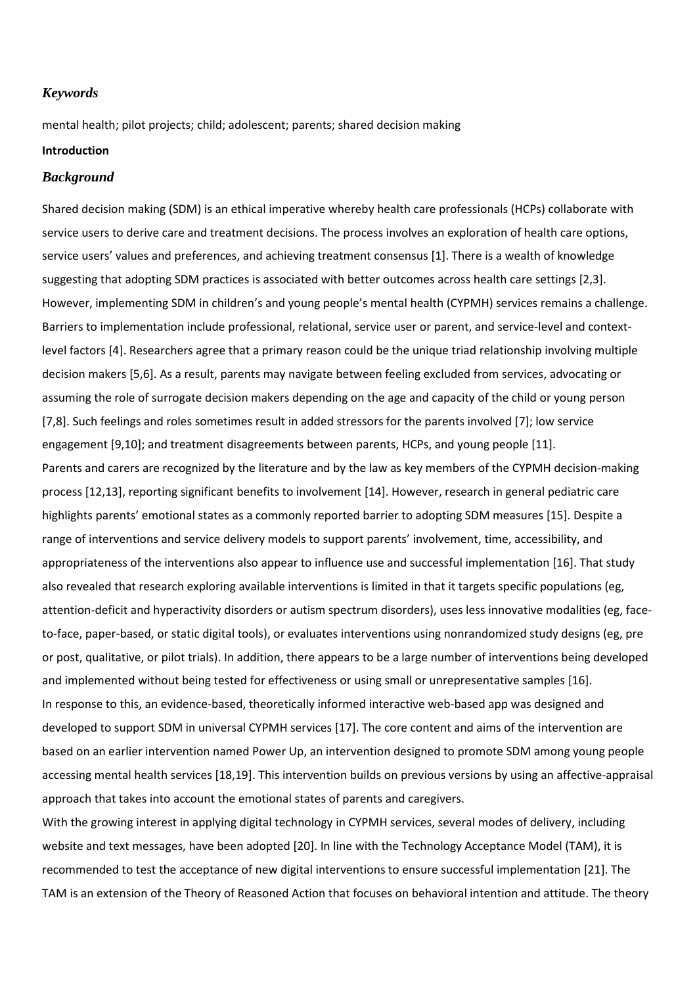# *Keywords*

mental health; pilot projects; child; adolescent; parents; shared decision making

## **Introduction**

#### *Background*

Shared decision making (SDM) is an ethical imperative whereby health care professionals (HCPs) collaborate with service users to derive care and treatment decisions. The process involves an exploration of health care options, service users' values and preferences, and achieving treatment consensus [1]. There is a wealth of knowledge suggesting that adopting SDM practices is associated with better outcomes across health care settings [2,3]. However, implementing SDM in children's and young people's mental health (CYPMH) services remains a challenge. Barriers to implementation include professional, relational, service user or parent, and service-level and contextlevel factors [4]. Researchers agree that a primary reason could be the unique triad relationship involving multiple decision makers [5,6]. As a result, parents may navigate between feeling excluded from services, advocating or assuming the role of surrogate decision makers depending on the age and capacity of the child or young person [7,8]. Such feelings and roles sometimes result in added stressors for the parents involved [7]; low service engagement [9,10]; and treatment disagreements between parents, HCPs, and young people [11]. Parents and carers are recognized by the literature and by the law as key members of the CYPMH decision-making process [12,13], reporting significant benefits to involvement [14]. However, research in general pediatric care highlights parents' emotional states as a commonly reported barrier to adopting SDM measures [15]. Despite a range of interventions and service delivery models to support parents' involvement, time, accessibility, and appropriateness of the interventions also appear to influence use and successful implementation [16]. That study also revealed that research exploring available interventions is limited in that it targets specific populations (eg, attention-deficit and hyperactivity disorders or autism spectrum disorders), uses less innovative modalities (eg, faceto-face, paper-based, or static digital tools), or evaluates interventions using nonrandomized study designs (eg, pre or post, qualitative, or pilot trials). In addition, there appears to be a large number of interventions being developed and implemented without being tested for effectiveness or using small or unrepresentative samples [16]. In response to this, an evidence-based, theoretically informed interactive web-based app was designed and developed to support SDM in universal CYPMH services [17]. The core content and aims of the intervention are based on an earlier intervention named Power Up, an intervention designed to promote SDM among young people accessing mental health services [18,19]. This intervention builds on previous versions by using an affective-appraisal approach that takes into account the emotional states of parents and caregivers.

With the growing interest in applying digital technology in CYPMH services, several modes of delivery, including website and text messages, have been adopted [20]. In line with the Technology Acceptance Model (TAM), it is recommended to test the acceptance of new digital interventions to ensure successful implementation [21]. The TAM is an extension of the Theory of Reasoned Action that focuses on behavioral intention and attitude. The theory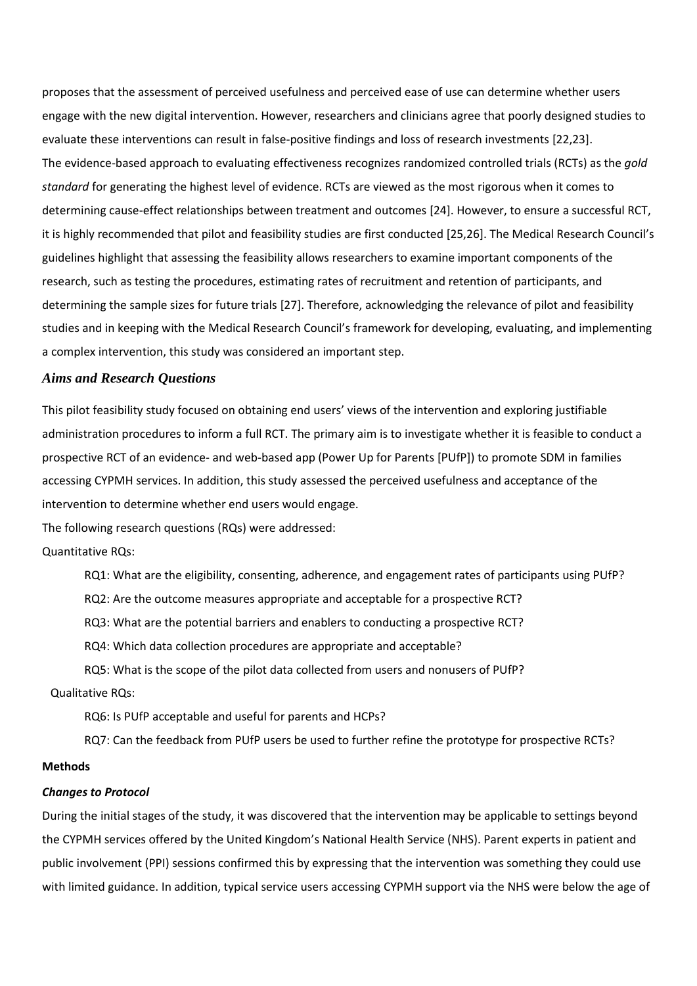proposes that the assessment of perceived usefulness and perceived ease of use can determine whether users engage with the new digital intervention. However, researchers and clinicians agree that poorly designed studies to evaluate these interventions can result in false-positive findings and loss of research investments [22,23]. The evidence-based approach to evaluating effectiveness recognizes randomized controlled trials (RCTs) as the *gold standard* for generating the highest level of evidence. RCTs are viewed as the most rigorous when it comes to determining cause-effect relationships between treatment and outcomes [24]. However, to ensure a successful RCT, it is highly recommended that pilot and feasibility studies are first conducted [25,26]. The Medical Research Council's guidelines highlight that assessing the feasibility allows researchers to examine important components of the research, such as testing the procedures, estimating rates of recruitment and retention of participants, and determining the sample sizes for future trials [27]. Therefore, acknowledging the relevance of pilot and feasibility studies and in keeping with the Medical Research Council's framework for developing, evaluating, and implementing a complex intervention, this study was considered an important step.

## *Aims and Research Questions*

This pilot feasibility study focused on obtaining end users' views of the intervention and exploring justifiable administration procedures to inform a full RCT. The primary aim is to investigate whether it is feasible to conduct a prospective RCT of an evidence- and web-based app (Power Up for Parents [PUfP]) to promote SDM in families accessing CYPMH services. In addition, this study assessed the perceived usefulness and acceptance of the intervention to determine whether end users would engage.

The following research questions (RQs) were addressed:

Quantitative RQs:

RQ1: What are the eligibility, consenting, adherence, and engagement rates of participants using PUfP?

RQ2: Are the outcome measures appropriate and acceptable for a prospective RCT?

RQ3: What are the potential barriers and enablers to conducting a prospective RCT?

RQ4: Which data collection procedures are appropriate and acceptable?

RQ5: What is the scope of the pilot data collected from users and nonusers of PUfP?

Qualitative RQs:

RQ6: Is PUfP acceptable and useful for parents and HCPs?

RQ7: Can the feedback from PUfP users be used to further refine the prototype for prospective RCTs?

## **Methods**

#### *Changes to Protocol*

During the initial stages of the study, it was discovered that the intervention may be applicable to settings beyond the CYPMH services offered by the United Kingdom's National Health Service (NHS). Parent experts in patient and public involvement (PPI) sessions confirmed this by expressing that the intervention was something they could use with limited guidance. In addition, typical service users accessing CYPMH support via the NHS were below the age of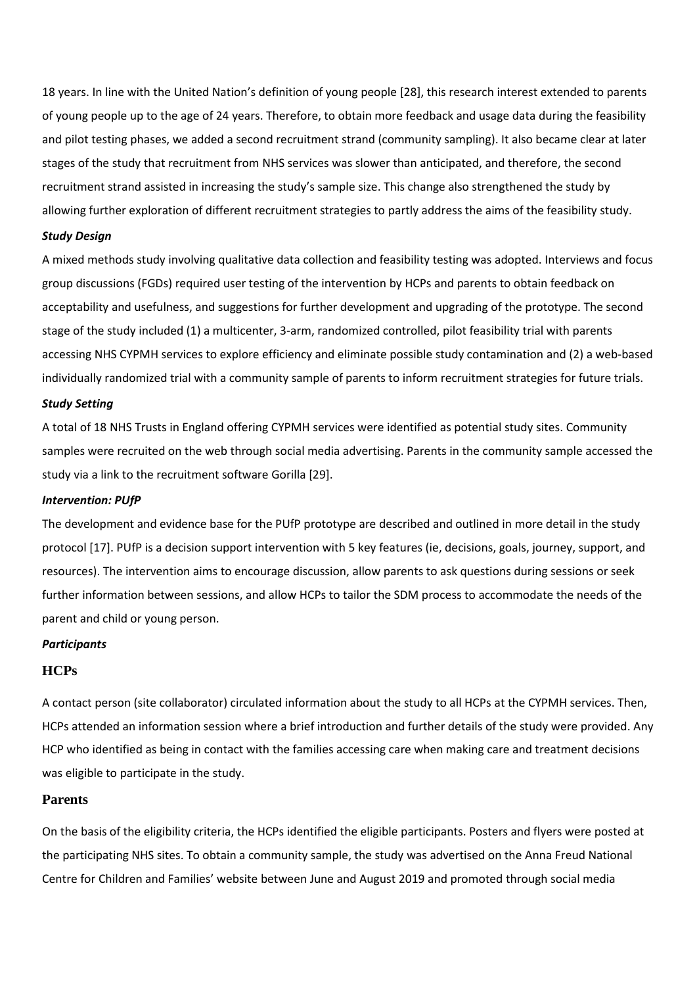18 years. In line with the United Nation's definition of young people [28], this research interest extended to parents of young people up to the age of 24 years. Therefore, to obtain more feedback and usage data during the feasibility and pilot testing phases, we added a second recruitment strand (community sampling). It also became clear at later stages of the study that recruitment from NHS services was slower than anticipated, and therefore, the second recruitment strand assisted in increasing the study's sample size. This change also strengthened the study by allowing further exploration of different recruitment strategies to partly address the aims of the feasibility study.

#### *Study Design*

A mixed methods study involving qualitative data collection and feasibility testing was adopted. Interviews and focus group discussions (FGDs) required user testing of the intervention by HCPs and parents to obtain feedback on acceptability and usefulness, and suggestions for further development and upgrading of the prototype. The second stage of the study included (1) a multicenter, 3-arm, randomized controlled, pilot feasibility trial with parents accessing NHS CYPMH services to explore efficiency and eliminate possible study contamination and (2) a web-based individually randomized trial with a community sample of parents to inform recruitment strategies for future trials.

#### *Study Setting*

A total of 18 NHS Trusts in England offering CYPMH services were identified as potential study sites. Community samples were recruited on the web through social media advertising. Parents in the community sample accessed the study via a link to the recruitment software Gorilla [29].

#### *Intervention: PUfP*

The development and evidence base for the PUfP prototype are described and outlined in more detail in the study protocol [17]. PUfP is a decision support intervention with 5 key features (ie, decisions, goals, journey, support, and resources). The intervention aims to encourage discussion, allow parents to ask questions during sessions or seek further information between sessions, and allow HCPs to tailor the SDM process to accommodate the needs of the parent and child or young person.

#### *Participants*

### **HCPs**

A contact person (site collaborator) circulated information about the study to all HCPs at the CYPMH services. Then, HCPs attended an information session where a brief introduction and further details of the study were provided. Any HCP who identified as being in contact with the families accessing care when making care and treatment decisions was eligible to participate in the study.

## **Parents**

On the basis of the eligibility criteria, the HCPs identified the eligible participants. Posters and flyers were posted at the participating NHS sites. To obtain a community sample, the study was advertised on the Anna Freud National Centre for Children and Families' website between June and August 2019 and promoted through social media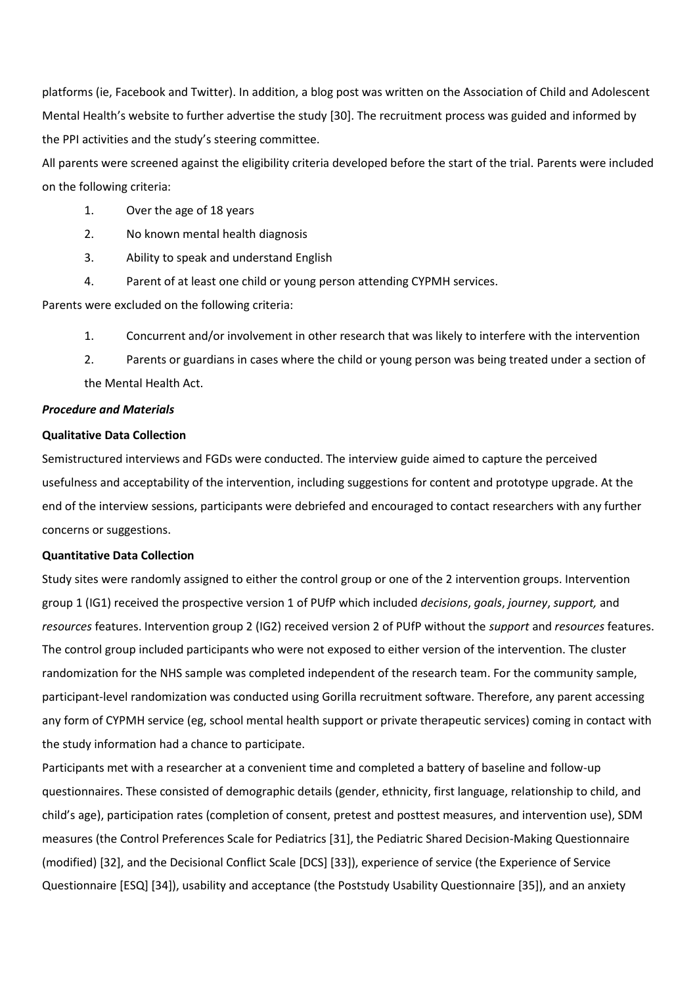platforms (ie, Facebook and Twitter). In addition, a blog post was written on the Association of Child and Adolescent Mental Health's website to further advertise the study [30]. The recruitment process was guided and informed by the PPI activities and the study's steering committee.

All parents were screened against the eligibility criteria developed before the start of the trial. Parents were included on the following criteria:

- 1. Over the age of 18 years
- 2. No known mental health diagnosis
- 3. Ability to speak and understand English
- 4. Parent of at least one child or young person attending CYPMH services.

Parents were excluded on the following criteria:

- 1. Concurrent and/or involvement in other research that was likely to interfere with the intervention
- 2. Parents or guardians in cases where the child or young person was being treated under a section of the Mental Health Act.

#### *Procedure and Materials*

#### **Qualitative Data Collection**

Semistructured interviews and FGDs were conducted. The interview guide aimed to capture the perceived usefulness and acceptability of the intervention, including suggestions for content and prototype upgrade. At the end of the interview sessions, participants were debriefed and encouraged to contact researchers with any further concerns or suggestions.

#### **Quantitative Data Collection**

Study sites were randomly assigned to either the control group or one of the 2 intervention groups. Intervention group 1 (IG1) received the prospective version 1 of PUfP which included *decisions*, *goals*, *journey*, *support,* and *resources* features. Intervention group 2 (IG2) received version 2 of PUfP without the *support* and *resources* features. The control group included participants who were not exposed to either version of the intervention. The cluster randomization for the NHS sample was completed independent of the research team. For the community sample, participant-level randomization was conducted using Gorilla recruitment software. Therefore, any parent accessing any form of CYPMH service (eg, school mental health support or private therapeutic services) coming in contact with the study information had a chance to participate.

Participants met with a researcher at a convenient time and completed a battery of baseline and follow-up questionnaires. These consisted of demographic details (gender, ethnicity, first language, relationship to child, and child's age), participation rates (completion of consent, pretest and posttest measures, and intervention use), SDM measures (the Control Preferences Scale for Pediatrics [31], the Pediatric Shared Decision-Making Questionnaire (modified) [32], and the Decisional Conflict Scale [DCS] [33]), experience of service (the Experience of Service Questionnaire [ESQ] [34]), usability and acceptance (the Poststudy Usability Questionnaire [35]), and an anxiety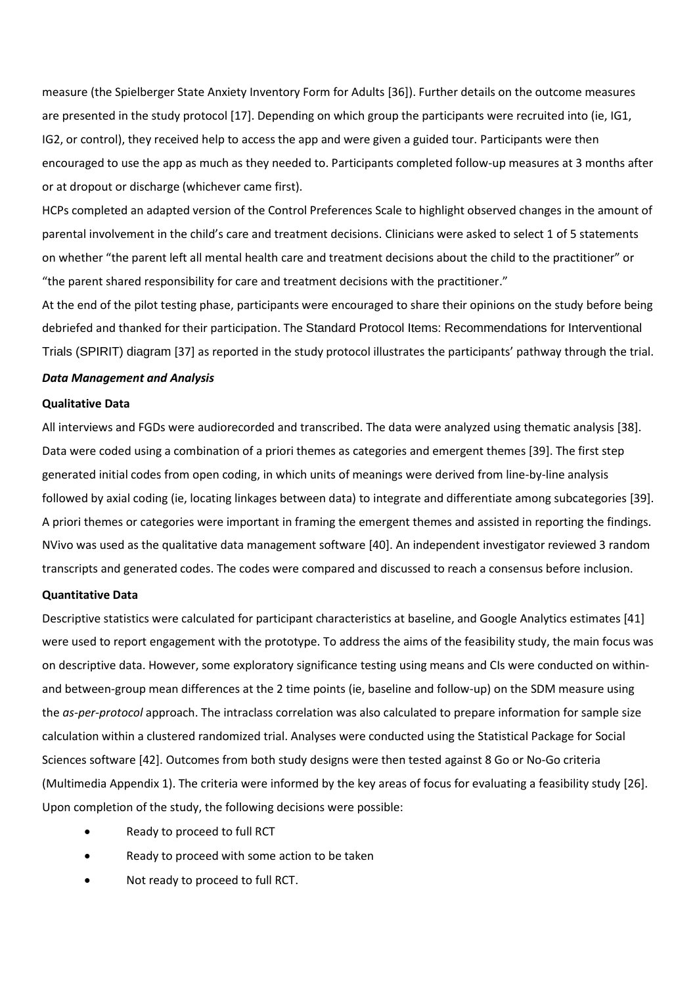measure (the Spielberger State Anxiety Inventory Form for Adults [36]). Further details on the outcome measures are presented in the study protocol [17]. Depending on which group the participants were recruited into (ie, IG1, IG2, or control), they received help to access the app and were given a guided tour. Participants were then encouraged to use the app as much as they needed to. Participants completed follow-up measures at 3 months after or at dropout or discharge (whichever came first).

HCPs completed an adapted version of the Control Preferences Scale to highlight observed changes in the amount of parental involvement in the child's care and treatment decisions. Clinicians were asked to select 1 of 5 statements on whether "the parent left all mental health care and treatment decisions about the child to the practitioner" or "the parent shared responsibility for care and treatment decisions with the practitioner."

At the end of the pilot testing phase, participants were encouraged to share their opinions on the study before being debriefed and thanked for their participation. The Standard Protocol Items: Recommendations for Interventional Trials (SPIRIT) diagram [37] as reported in the study protocol illustrates the participants' pathway through the trial.

## *Data Management and Analysis*

#### **Qualitative Data**

All interviews and FGDs were audiorecorded and transcribed. The data were analyzed using thematic analysis [38]. Data were coded using a combination of a priori themes as categories and emergent themes [39]. The first step generated initial codes from open coding, in which units of meanings were derived from line-by-line analysis followed by axial coding (ie, locating linkages between data) to integrate and differentiate among subcategories [39]. A priori themes or categories were important in framing the emergent themes and assisted in reporting the findings. NVivo was used as the qualitative data management software [40]. An independent investigator reviewed 3 random transcripts and generated codes. The codes were compared and discussed to reach a consensus before inclusion.

## **Quantitative Data**

Descriptive statistics were calculated for participant characteristics at baseline, and Google Analytics estimates [41] were used to report engagement with the prototype. To address the aims of the feasibility study, the main focus was on descriptive data. However, some exploratory significance testing using means and CIs were conducted on withinand between-group mean differences at the 2 time points (ie, baseline and follow-up) on the SDM measure using the *as-per-protocol* approach. The intraclass correlation was also calculated to prepare information for sample size calculation within a clustered randomized trial. Analyses were conducted using the Statistical Package for Social Sciences software [42]. Outcomes from both study designs were then tested against 8 Go or No-Go criteria (Multimedia Appendix 1). The criteria were informed by the key areas of focus for evaluating a feasibility study [26]. Upon completion of the study, the following decisions were possible:

- Ready to proceed to full RCT
- Ready to proceed with some action to be taken
- Not ready to proceed to full RCT.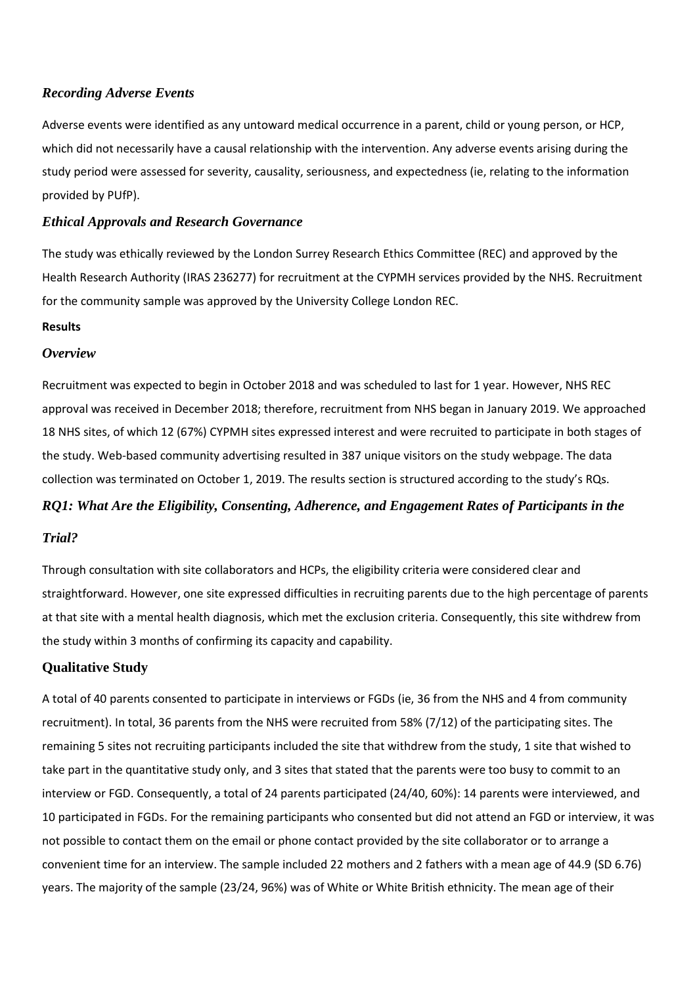# *Recording Adverse Events*

Adverse events were identified as any untoward medical occurrence in a parent, child or young person, or HCP, which did not necessarily have a causal relationship with the intervention. Any adverse events arising during the study period were assessed for severity, causality, seriousness, and expectedness (ie, relating to the information provided by PUfP).

# *Ethical Approvals and Research Governance*

The study was ethically reviewed by the London Surrey Research Ethics Committee (REC) and approved by the Health Research Authority (IRAS 236277) for recruitment at the CYPMH services provided by the NHS. Recruitment for the community sample was approved by the University College London REC.

# **Results**

# *Overview*

Recruitment was expected to begin in October 2018 and was scheduled to last for 1 year. However, NHS REC approval was received in December 2018; therefore, recruitment from NHS began in January 2019. We approached 18 NHS sites, of which 12 (67%) CYPMH sites expressed interest and were recruited to participate in both stages of the study. Web-based community advertising resulted in 387 unique visitors on the study webpage. The data collection was terminated on October 1, 2019. The results section is structured according to the study's RQs.

# *RQ1: What Are the Eligibility, Consenting, Adherence, and Engagement Rates of Participants in the*

# *Trial?*

Through consultation with site collaborators and HCPs, the eligibility criteria were considered clear and straightforward. However, one site expressed difficulties in recruiting parents due to the high percentage of parents at that site with a mental health diagnosis, which met the exclusion criteria. Consequently, this site withdrew from the study within 3 months of confirming its capacity and capability.

# **Qualitative Study**

A total of 40 parents consented to participate in interviews or FGDs (ie, 36 from the NHS and 4 from community recruitment). In total, 36 parents from the NHS were recruited from 58% (7/12) of the participating sites. The remaining 5 sites not recruiting participants included the site that withdrew from the study, 1 site that wished to take part in the quantitative study only, and 3 sites that stated that the parents were too busy to commit to an interview or FGD. Consequently, a total of 24 parents participated (24/40, 60%): 14 parents were interviewed, and 10 participated in FGDs. For the remaining participants who consented but did not attend an FGD or interview, it was not possible to contact them on the email or phone contact provided by the site collaborator or to arrange a convenient time for an interview. The sample included 22 mothers and 2 fathers with a mean age of 44.9 (SD 6.76) years. The majority of the sample (23/24, 96%) was of White or White British ethnicity. The mean age of their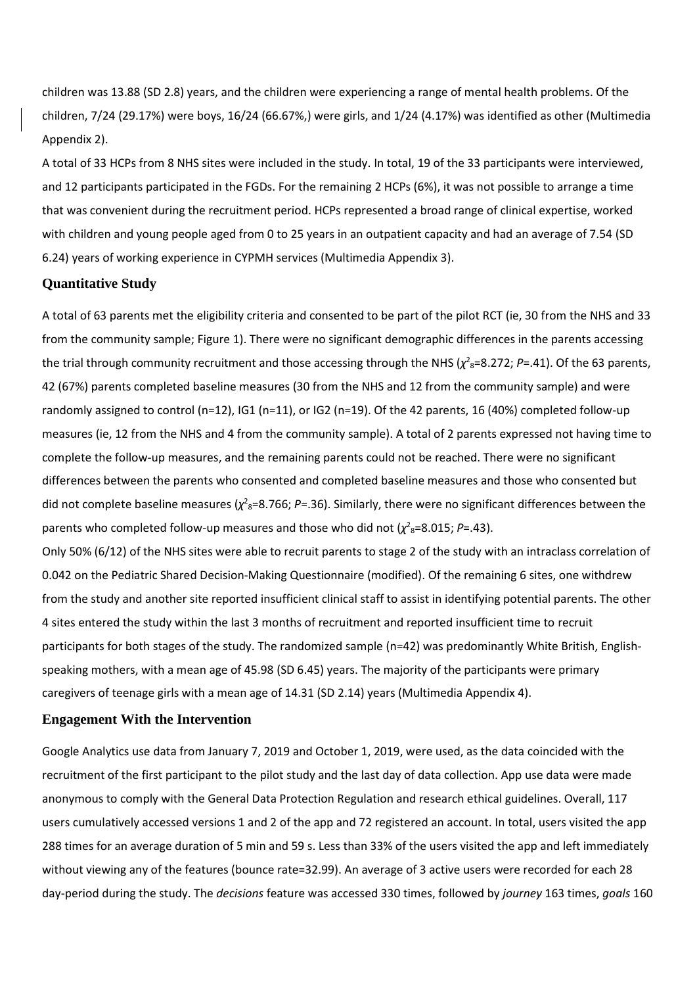children was 13.88 (SD 2.8) years, and the children were experiencing a range of mental health problems. Of the children, 7/24 (29.17%) were boys, 16/24 (66.67%,) were girls, and 1/24 (4.17%) was identified as other (Multimedia Appendix 2).

A total of 33 HCPs from 8 NHS sites were included in the study. In total, 19 of the 33 participants were interviewed, and 12 participants participated in the FGDs. For the remaining 2 HCPs (6%), it was not possible to arrange a time that was convenient during the recruitment period. HCPs represented a broad range of clinical expertise, worked with children and young people aged from 0 to 25 years in an outpatient capacity and had an average of 7.54 (SD 6.24) years of working experience in CYPMH services (Multimedia Appendix 3).

#### **Quantitative Study**

A total of 63 parents met the eligibility criteria and consented to be part of the pilot RCT (ie, 30 from the NHS and 33 from the community sample; Figure 1). There were no significant demographic differences in the parents accessing the trial through community recruitment and those accessing through the NHS ( $\chi^2$ <sub>8</sub>=8.272; *P*=.41). Of the 63 parents, 42 (67%) parents completed baseline measures (30 from the NHS and 12 from the community sample) and were randomly assigned to control (n=12), IG1 (n=11), or IG2 (n=19). Of the 42 parents, 16 (40%) completed follow-up measures (ie, 12 from the NHS and 4 from the community sample). A total of 2 parents expressed not having time to complete the follow-up measures, and the remaining parents could not be reached. There were no significant differences between the parents who consented and completed baseline measures and those who consented but did not complete baseline measures ( $\chi^2$ <sub>8</sub>=8.766; *P*=.36). Similarly, there were no significant differences between the parents who completed follow-up measures and those who did not  $(\chi^2)^8 = 8.015$ ; *P*=.43).

Only 50% (6/12) of the NHS sites were able to recruit parents to stage 2 of the study with an intraclass correlation of 0.042 on the Pediatric Shared Decision-Making Questionnaire (modified). Of the remaining 6 sites, one withdrew from the study and another site reported insufficient clinical staff to assist in identifying potential parents. The other 4 sites entered the study within the last 3 months of recruitment and reported insufficient time to recruit participants for both stages of the study. The randomized sample (n=42) was predominantly White British, Englishspeaking mothers, with a mean age of 45.98 (SD 6.45) years. The majority of the participants were primary caregivers of teenage girls with a mean age of 14.31 (SD 2.14) years (Multimedia Appendix 4).

#### **Engagement With the Intervention**

Google Analytics use data from January 7, 2019 and October 1, 2019, were used, as the data coincided with the recruitment of the first participant to the pilot study and the last day of data collection. App use data were made anonymous to comply with the General Data Protection Regulation and research ethical guidelines. Overall, 117 users cumulatively accessed versions 1 and 2 of the app and 72 registered an account. In total, users visited the app 288 times for an average duration of 5 min and 59 s. Less than 33% of the users visited the app and left immediately without viewing any of the features (bounce rate=32.99). An average of 3 active users were recorded for each 28 day-period during the study. The *decisions* feature was accessed 330 times, followed by *journey* 163 times, *goals* 160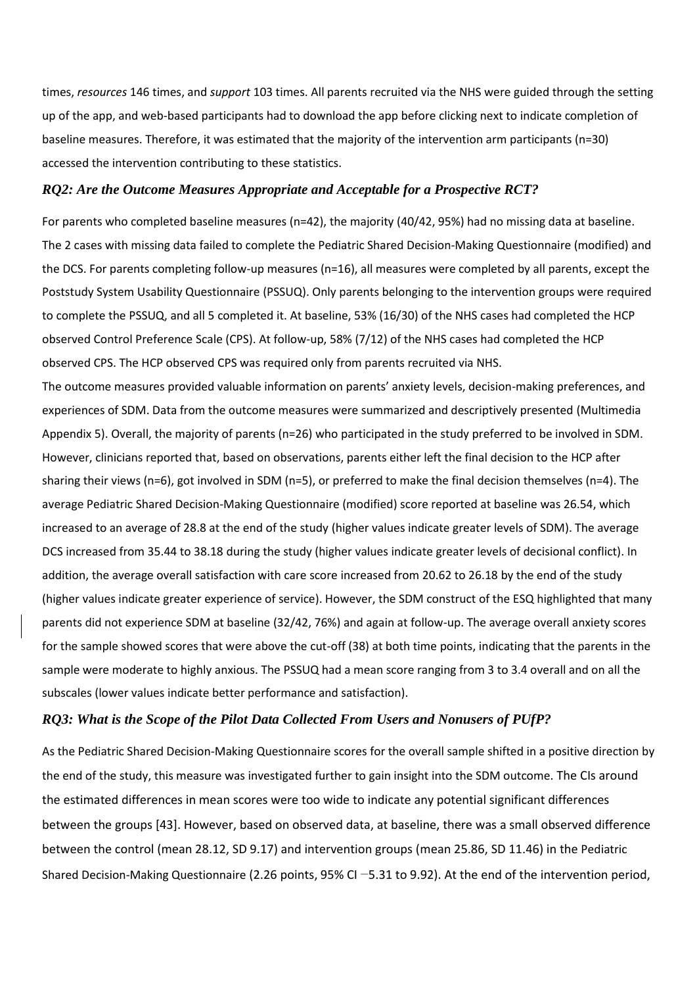times, *resources* 146 times, and *support* 103 times. All parents recruited via the NHS were guided through the setting up of the app, and web-based participants had to download the app before clicking next to indicate completion of baseline measures. Therefore, it was estimated that the majority of the intervention arm participants (n=30) accessed the intervention contributing to these statistics.

### *RQ2: Are the Outcome Measures Appropriate and Acceptable for a Prospective RCT?*

For parents who completed baseline measures (n=42), the majority (40/42, 95%) had no missing data at baseline. The 2 cases with missing data failed to complete the Pediatric Shared Decision-Making Questionnaire (modified) and the DCS. For parents completing follow-up measures (n=16), all measures were completed by all parents, except the Poststudy System Usability Questionnaire (PSSUQ). Only parents belonging to the intervention groups were required to complete the PSSUQ, and all 5 completed it. At baseline, 53% (16/30) of the NHS cases had completed the HCP observed Control Preference Scale (CPS). At follow-up, 58% (7/12) of the NHS cases had completed the HCP observed CPS. The HCP observed CPS was required only from parents recruited via NHS.

The outcome measures provided valuable information on parents' anxiety levels, decision-making preferences, and experiences of SDM. Data from the outcome measures were summarized and descriptively presented (Multimedia Appendix 5). Overall, the majority of parents (n=26) who participated in the study preferred to be involved in SDM. However, clinicians reported that, based on observations, parents either left the final decision to the HCP after sharing their views (n=6), got involved in SDM (n=5), or preferred to make the final decision themselves (n=4). The average Pediatric Shared Decision-Making Questionnaire (modified) score reported at baseline was 26.54, which increased to an average of 28.8 at the end of the study (higher values indicate greater levels of SDM). The average DCS increased from 35.44 to 38.18 during the study (higher values indicate greater levels of decisional conflict). In addition, the average overall satisfaction with care score increased from 20.62 to 26.18 by the end of the study (higher values indicate greater experience of service). However, the SDM construct of the ESQ highlighted that many parents did not experience SDM at baseline (32/42, 76%) and again at follow-up. The average overall anxiety scores for the sample showed scores that were above the cut-off (38) at both time points, indicating that the parents in the sample were moderate to highly anxious. The PSSUQ had a mean score ranging from 3 to 3.4 overall and on all the subscales (lower values indicate better performance and satisfaction).

# *RQ3: What is the Scope of the Pilot Data Collected From Users and Nonusers of PUfP?*

As the Pediatric Shared Decision-Making Questionnaire scores for the overall sample shifted in a positive direction by the end of the study, this measure was investigated further to gain insight into the SDM outcome. The CIs around the estimated differences in mean scores were too wide to indicate any potential significant differences between the groups [43]. However, based on observed data, at baseline, there was a small observed difference between the control (mean 28.12, SD 9.17) and intervention groups (mean 25.86, SD 11.46) in the Pediatric Shared Decision-Making Questionnaire (2.26 points, 95% CI −5.31 to 9.92). At the end of the intervention period,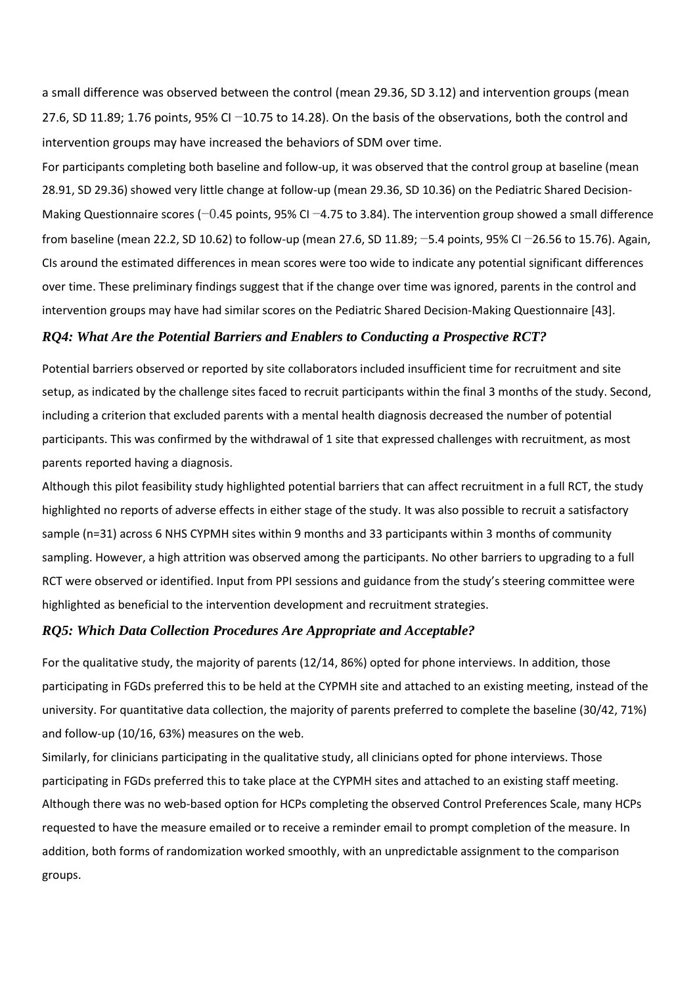a small difference was observed between the control (mean 29.36, SD 3.12) and intervention groups (mean 27.6, SD 11.89; 1.76 points, 95% CI −10.75 to 14.28). On the basis of the observations, both the control and intervention groups may have increased the behaviors of SDM over time.

For participants completing both baseline and follow-up, it was observed that the control group at baseline (mean 28.91, SD 29.36) showed very little change at follow-up (mean 29.36, SD 10.36) on the Pediatric Shared Decision-Making Questionnaire scores (−0.45 points, 95% CI −4.75 to 3.84). The intervention group showed a small difference from baseline (mean 22.2, SD 10.62) to follow-up (mean 27.6, SD 11.89; −5.4 points, 95% CI −26.56 to 15.76). Again, CIs around the estimated differences in mean scores were too wide to indicate any potential significant differences over time. These preliminary findings suggest that if the change over time was ignored, parents in the control and intervention groups may have had similar scores on the Pediatric Shared Decision-Making Questionnaire [43].

## *RQ4: What Are the Potential Barriers and Enablers to Conducting a Prospective RCT?*

Potential barriers observed or reported by site collaborators included insufficient time for recruitment and site setup, as indicated by the challenge sites faced to recruit participants within the final 3 months of the study. Second, including a criterion that excluded parents with a mental health diagnosis decreased the number of potential participants. This was confirmed by the withdrawal of 1 site that expressed challenges with recruitment, as most parents reported having a diagnosis.

Although this pilot feasibility study highlighted potential barriers that can affect recruitment in a full RCT, the study highlighted no reports of adverse effects in either stage of the study. It was also possible to recruit a satisfactory sample (n=31) across 6 NHS CYPMH sites within 9 months and 33 participants within 3 months of community sampling. However, a high attrition was observed among the participants. No other barriers to upgrading to a full RCT were observed or identified. Input from PPI sessions and guidance from the study's steering committee were highlighted as beneficial to the intervention development and recruitment strategies.

### *RQ5: Which Data Collection Procedures Are Appropriate and Acceptable?*

For the qualitative study, the majority of parents (12/14, 86%) opted for phone interviews. In addition, those participating in FGDs preferred this to be held at the CYPMH site and attached to an existing meeting, instead of the university. For quantitative data collection, the majority of parents preferred to complete the baseline (30/42, 71%) and follow-up (10/16, 63%) measures on the web.

Similarly, for clinicians participating in the qualitative study, all clinicians opted for phone interviews. Those participating in FGDs preferred this to take place at the CYPMH sites and attached to an existing staff meeting. Although there was no web-based option for HCPs completing the observed Control Preferences Scale, many HCPs requested to have the measure emailed or to receive a reminder email to prompt completion of the measure. In addition, both forms of randomization worked smoothly, with an unpredictable assignment to the comparison groups.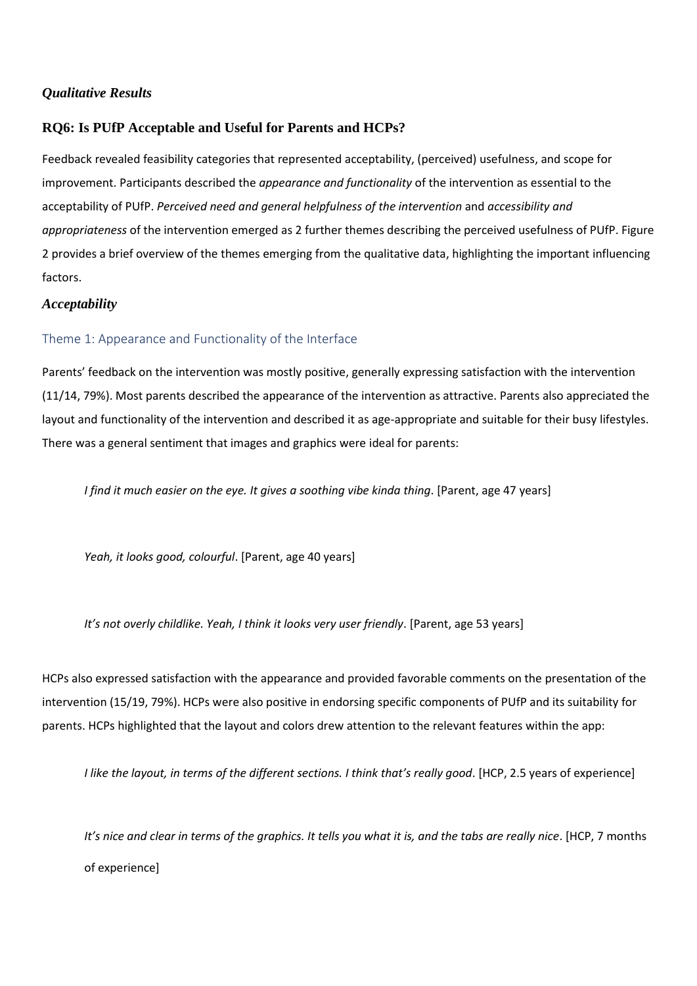# *Qualitative Results*

# **RQ6: Is PUfP Acceptable and Useful for Parents and HCPs?**

Feedback revealed feasibility categories that represented acceptability, (perceived) usefulness, and scope for improvement. Participants described the *appearance and functionality* of the intervention as essential to the acceptability of PUfP. *Perceived need and general helpfulness of the intervention* and *accessibility and appropriateness* of the intervention emerged as 2 further themes describing the perceived usefulness of PUfP. Figure 2 provides a brief overview of the themes emerging from the qualitative data, highlighting the important influencing factors.

# *Acceptability*

# Theme 1: Appearance and Functionality of the Interface

Parents' feedback on the intervention was mostly positive, generally expressing satisfaction with the intervention (11/14, 79%). Most parents described the appearance of the intervention as attractive. Parents also appreciated the layout and functionality of the intervention and described it as age-appropriate and suitable for their busy lifestyles. There was a general sentiment that images and graphics were ideal for parents:

*I find it much easier on the eye. It gives a soothing vibe kinda thing*. [Parent, age 47 years]

*Yeah, it looks good, colourful*. [Parent, age 40 years]

*It's not overly childlike. Yeah, I think it looks very user friendly*. [Parent, age 53 years]

HCPs also expressed satisfaction with the appearance and provided favorable comments on the presentation of the intervention (15/19, 79%). HCPs were also positive in endorsing specific components of PUfP and its suitability for parents. HCPs highlighted that the layout and colors drew attention to the relevant features within the app:

*I like the layout, in terms of the different sections. I think that's really good*. [HCP, 2.5 years of experience]

*It's nice and clear in terms of the graphics. It tells you what it is, and the tabs are really nice*. [HCP, 7 months of experience]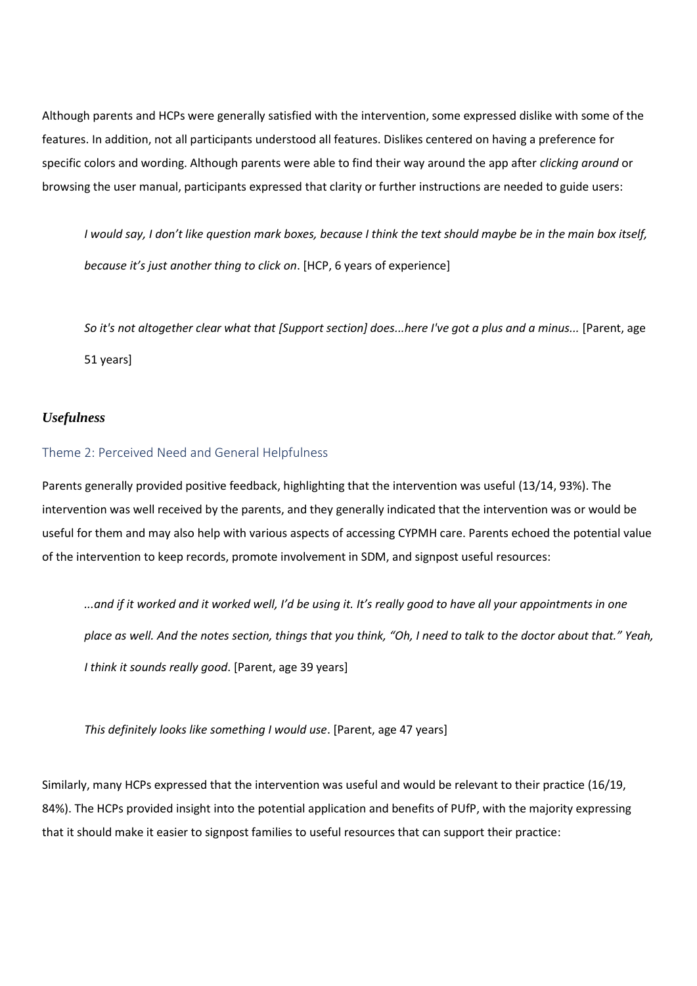Although parents and HCPs were generally satisfied with the intervention, some expressed dislike with some of the features. In addition, not all participants understood all features. Dislikes centered on having a preference for specific colors and wording. Although parents were able to find their way around the app after *clicking around* or browsing the user manual, participants expressed that clarity or further instructions are needed to guide users:

*I would say, I don't like question mark boxes, because I think the text should maybe be in the main box itself, because it's just another thing to click on*. [HCP, 6 years of experience]

*So it's not altogether clear what that [Support section] does...here I've got a plus and a minus...* [Parent, age 51 years]

# *Usefulness*

#### Theme 2: Perceived Need and General Helpfulness

Parents generally provided positive feedback, highlighting that the intervention was useful (13/14, 93%). The intervention was well received by the parents, and they generally indicated that the intervention was or would be useful for them and may also help with various aspects of accessing CYPMH care. Parents echoed the potential value of the intervention to keep records, promote involvement in SDM, and signpost useful resources:

*...and if it worked and it worked well, I'd be using it. It's really good to have all your appointments in one place as well. And the notes section, things that you think, "Oh, I need to talk to the doctor about that." Yeah, I think it sounds really good*. [Parent, age 39 years]

*This definitely looks like something I would use*. [Parent, age 47 years]

Similarly, many HCPs expressed that the intervention was useful and would be relevant to their practice (16/19, 84%). The HCPs provided insight into the potential application and benefits of PUfP, with the majority expressing that it should make it easier to signpost families to useful resources that can support their practice: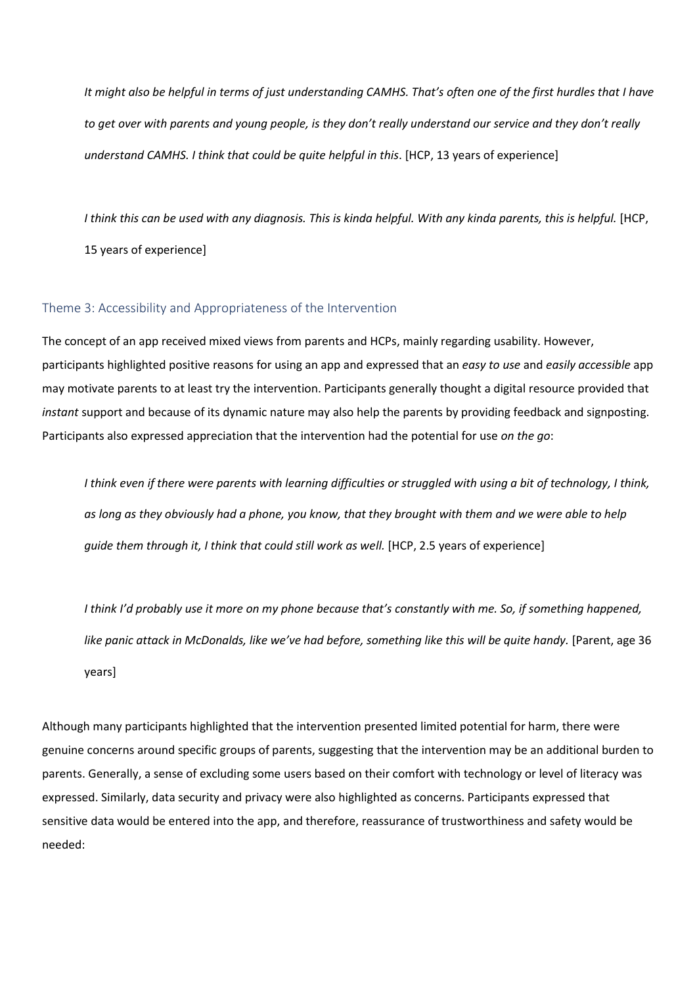*It might also be helpful in terms of just understanding CAMHS. That's often one of the first hurdles that I have to get over with parents and young people, is they don't really understand our service and they don't really understand CAMHS. I think that could be quite helpful in this*. [HCP, 13 years of experience]

*I think this can be used with any diagnosis. This is kinda helpful. With any kinda parents, this is helpful.* [HCP, 15 years of experience]

# Theme 3: Accessibility and Appropriateness of the Intervention

The concept of an app received mixed views from parents and HCPs, mainly regarding usability. However, participants highlighted positive reasons for using an app and expressed that an *easy to use* and *easily accessible* app may motivate parents to at least try the intervention. Participants generally thought a digital resource provided that *instant* support and because of its dynamic nature may also help the parents by providing feedback and signposting. Participants also expressed appreciation that the intervention had the potential for use *on the go*:

*I think even if there were parents with learning difficulties or struggled with using a bit of technology, I think, as long as they obviously had a phone, you know, that they brought with them and we were able to help guide them through it. I think that could still work as well.* [HCP, 2.5 years of experience]

*I think I'd probably use it more on my phone because that's constantly with me. So, if something happened, like panic attack in McDonalds, like we've had before, something like this will be quite handy.* [Parent, age 36 years]

Although many participants highlighted that the intervention presented limited potential for harm, there were genuine concerns around specific groups of parents, suggesting that the intervention may be an additional burden to parents. Generally, a sense of excluding some users based on their comfort with technology or level of literacy was expressed. Similarly, data security and privacy were also highlighted as concerns. Participants expressed that sensitive data would be entered into the app, and therefore, reassurance of trustworthiness and safety would be needed: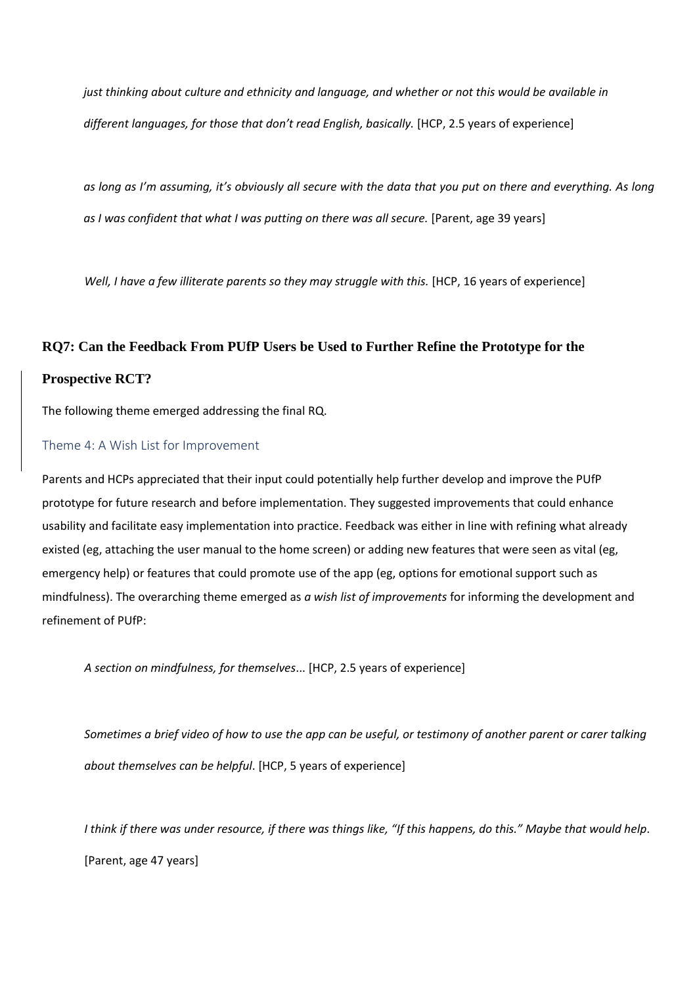*just thinking about culture and ethnicity and language, and whether or not this would be available in different languages, for those that don't read English, basically.* [HCP, 2.5 years of experience]

*as long as I'm assuming, it's obviously all secure with the data that you put on there and everything. As long*  as I was confident that what I was putting on there was all secure. [Parent, age 39 years]

*Well, I have a few illiterate parents so they may struggle with this.* [HCP, 16 years of experience]

# **RQ7: Can the Feedback From PUfP Users be Used to Further Refine the Prototype for the**

# **Prospective RCT?**

The following theme emerged addressing the final RQ.

# Theme 4: A Wish List for Improvement

Parents and HCPs appreciated that their input could potentially help further develop and improve the PUfP prototype for future research and before implementation. They suggested improvements that could enhance usability and facilitate easy implementation into practice. Feedback was either in line with refining what already existed (eg, attaching the user manual to the home screen) or adding new features that were seen as vital (eg, emergency help) or features that could promote use of the app (eg, options for emotional support such as mindfulness). The overarching theme emerged as *a wish list of improvements* for informing the development and refinement of PUfP:

*A section on mindfulness, for themselves*... [HCP, 2.5 years of experience]

*Sometimes a brief video of how to use the app can be useful, or testimony of another parent or carer talking about themselves can be helpful*. [HCP, 5 years of experience]

*I think if there was under resource, if there was things like, "If this happens, do this." Maybe that would help*. [Parent, age 47 years]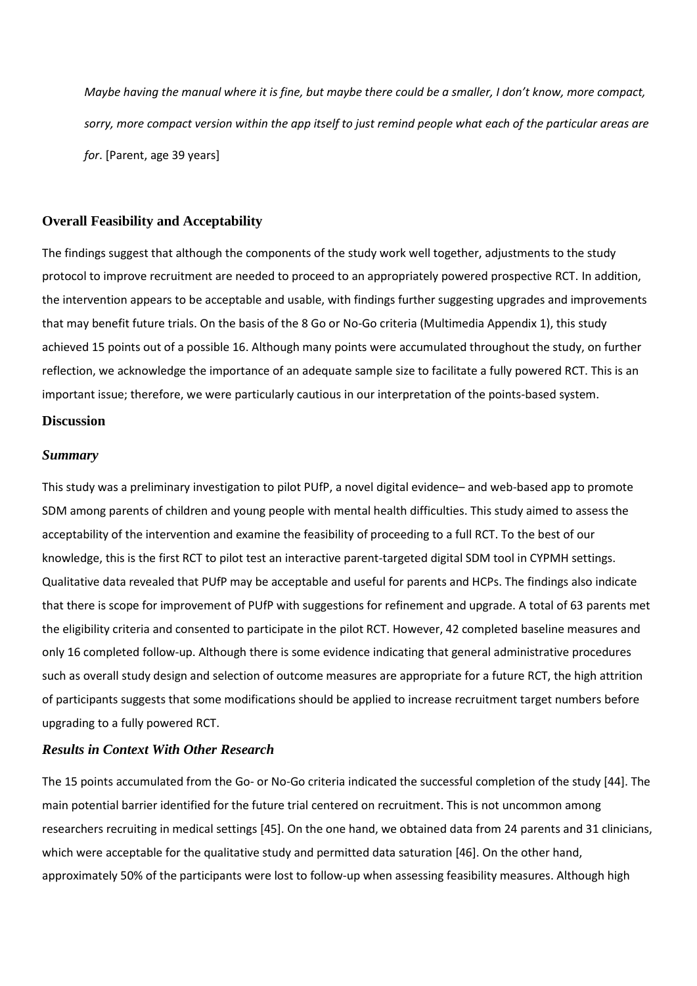*Maybe having the manual where it is fine, but maybe there could be a smaller, I don't know, more compact, sorry, more compact version within the app itself to just remind people what each of the particular areas are for*. [Parent, age 39 years]

# **Overall Feasibility and Acceptability**

The findings suggest that although the components of the study work well together, adjustments to the study protocol to improve recruitment are needed to proceed to an appropriately powered prospective RCT. In addition, the intervention appears to be acceptable and usable, with findings further suggesting upgrades and improvements that may benefit future trials. On the basis of the 8 Go or No-Go criteria (Multimedia Appendix 1), this study achieved 15 points out of a possible 16. Although many points were accumulated throughout the study, on further reflection, we acknowledge the importance of an adequate sample size to facilitate a fully powered RCT. This is an important issue; therefore, we were particularly cautious in our interpretation of the points-based system.

# **Discussion**

#### *Summary*

This study was a preliminary investigation to pilot PUfP, a novel digital evidence– and web-based app to promote SDM among parents of children and young people with mental health difficulties. This study aimed to assess the acceptability of the intervention and examine the feasibility of proceeding to a full RCT. To the best of our knowledge, this is the first RCT to pilot test an interactive parent-targeted digital SDM tool in CYPMH settings. Qualitative data revealed that PUfP may be acceptable and useful for parents and HCPs. The findings also indicate that there is scope for improvement of PUfP with suggestions for refinement and upgrade. A total of 63 parents met the eligibility criteria and consented to participate in the pilot RCT. However, 42 completed baseline measures and only 16 completed follow-up. Although there is some evidence indicating that general administrative procedures such as overall study design and selection of outcome measures are appropriate for a future RCT, the high attrition of participants suggests that some modifications should be applied to increase recruitment target numbers before upgrading to a fully powered RCT.

# *Results in Context With Other Research*

The 15 points accumulated from the Go- or No-Go criteria indicated the successful completion of the study [44]. The main potential barrier identified for the future trial centered on recruitment. This is not uncommon among researchers recruiting in medical settings [45]. On the one hand, we obtained data from 24 parents and 31 clinicians, which were acceptable for the qualitative study and permitted data saturation [46]. On the other hand, approximately 50% of the participants were lost to follow-up when assessing feasibility measures. Although high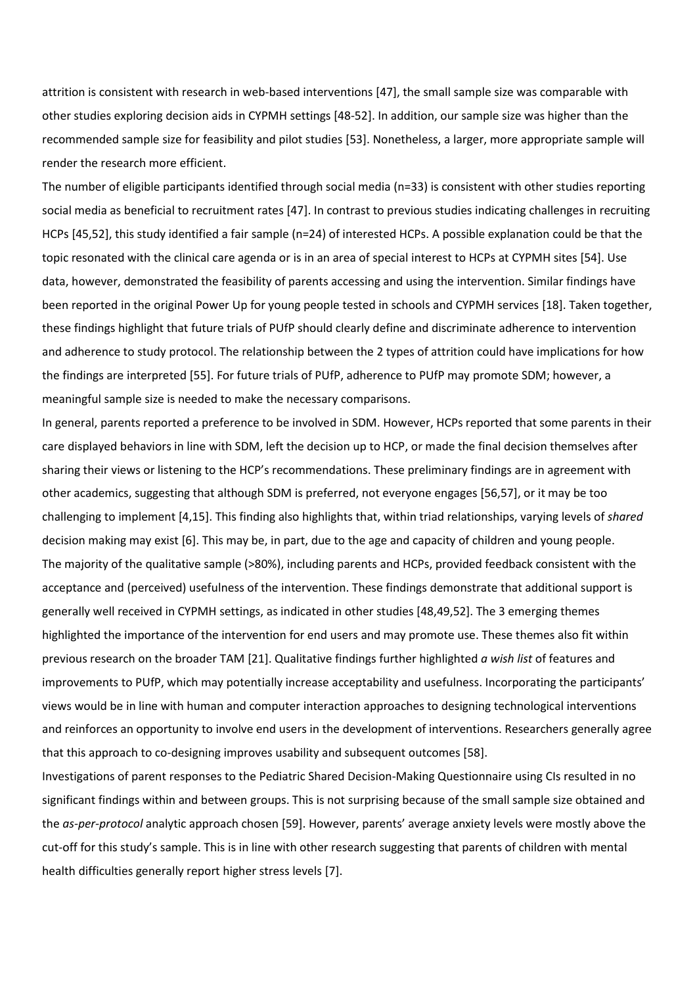attrition is consistent with research in web-based interventions [47], the small sample size was comparable with other studies exploring decision aids in CYPMH settings [48-52]. In addition, our sample size was higher than the recommended sample size for feasibility and pilot studies [53]. Nonetheless, a larger, more appropriate sample will render the research more efficient.

The number of eligible participants identified through social media (n=33) is consistent with other studies reporting social media as beneficial to recruitment rates [47]. In contrast to previous studies indicating challenges in recruiting HCPs [45,52], this study identified a fair sample (n=24) of interested HCPs. A possible explanation could be that the topic resonated with the clinical care agenda or is in an area of special interest to HCPs at CYPMH sites [54]. Use data, however, demonstrated the feasibility of parents accessing and using the intervention. Similar findings have been reported in the original Power Up for young people tested in schools and CYPMH services [18]. Taken together, these findings highlight that future trials of PUfP should clearly define and discriminate adherence to intervention and adherence to study protocol. The relationship between the 2 types of attrition could have implications for how the findings are interpreted [55]. For future trials of PUfP, adherence to PUfP may promote SDM; however, a meaningful sample size is needed to make the necessary comparisons.

In general, parents reported a preference to be involved in SDM. However, HCPs reported that some parents in their care displayed behaviors in line with SDM, left the decision up to HCP, or made the final decision themselves after sharing their views or listening to the HCP's recommendations. These preliminary findings are in agreement with other academics, suggesting that although SDM is preferred, not everyone engages [56,57], or it may be too challenging to implement [4,15]. This finding also highlights that, within triad relationships, varying levels of *shared* decision making may exist [6]. This may be, in part, due to the age and capacity of children and young people. The majority of the qualitative sample (>80%), including parents and HCPs, provided feedback consistent with the acceptance and (perceived) usefulness of the intervention. These findings demonstrate that additional support is generally well received in CYPMH settings, as indicated in other studies [48,49,52]. The 3 emerging themes highlighted the importance of the intervention for end users and may promote use. These themes also fit within previous research on the broader TAM [21]. Qualitative findings further highlighted *a wish list* of features and improvements to PUfP, which may potentially increase acceptability and usefulness. Incorporating the participants' views would be in line with human and computer interaction approaches to designing technological interventions and reinforces an opportunity to involve end users in the development of interventions. Researchers generally agree that this approach to co-designing improves usability and subsequent outcomes [58].

Investigations of parent responses to the Pediatric Shared Decision-Making Questionnaire using CIs resulted in no significant findings within and between groups. This is not surprising because of the small sample size obtained and the *as-per-protocol* analytic approach chosen [59]. However, parents' average anxiety levels were mostly above the cut-off for this study's sample. This is in line with other research suggesting that parents of children with mental health difficulties generally report higher stress levels [7].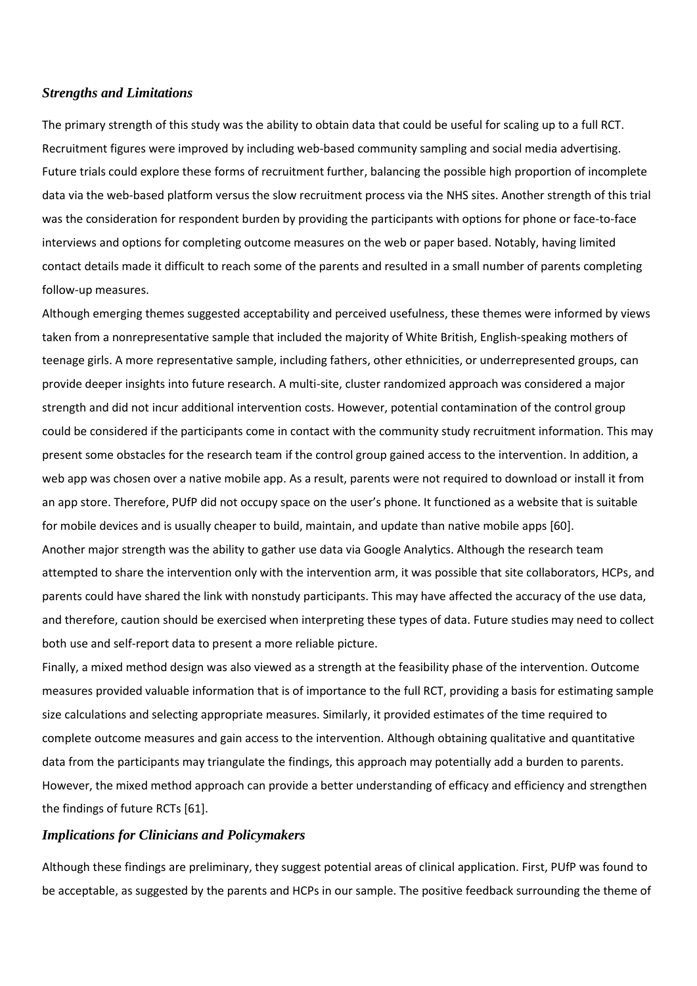## *Strengths and Limitations*

The primary strength of this study was the ability to obtain data that could be useful for scaling up to a full RCT. Recruitment figures were improved by including web-based community sampling and social media advertising. Future trials could explore these forms of recruitment further, balancing the possible high proportion of incomplete data via the web-based platform versus the slow recruitment process via the NHS sites. Another strength of this trial was the consideration for respondent burden by providing the participants with options for phone or face-to-face interviews and options for completing outcome measures on the web or paper based. Notably, having limited contact details made it difficult to reach some of the parents and resulted in a small number of parents completing follow-up measures.

Although emerging themes suggested acceptability and perceived usefulness, these themes were informed by views taken from a nonrepresentative sample that included the majority of White British, English-speaking mothers of teenage girls. A more representative sample, including fathers, other ethnicities, or underrepresented groups, can provide deeper insights into future research. A multi-site, cluster randomized approach was considered a major strength and did not incur additional intervention costs. However, potential contamination of the control group could be considered if the participants come in contact with the community study recruitment information. This may present some obstacles for the research team if the control group gained access to the intervention. In addition, a web app was chosen over a native mobile app. As a result, parents were not required to download or install it from an app store. Therefore, PUfP did not occupy space on the user's phone. It functioned as a website that is suitable for mobile devices and is usually cheaper to build, maintain, and update than native mobile apps [60]. Another major strength was the ability to gather use data via Google Analytics. Although the research team attempted to share the intervention only with the intervention arm, it was possible that site collaborators, HCPs, and parents could have shared the link with nonstudy participants. This may have affected the accuracy of the use data, and therefore, caution should be exercised when interpreting these types of data. Future studies may need to collect both use and self-report data to present a more reliable picture.

Finally, a mixed method design was also viewed as a strength at the feasibility phase of the intervention. Outcome measures provided valuable information that is of importance to the full RCT, providing a basis for estimating sample size calculations and selecting appropriate measures. Similarly, it provided estimates of the time required to complete outcome measures and gain access to the intervention. Although obtaining qualitative and quantitative data from the participants may triangulate the findings, this approach may potentially add a burden to parents. However, the mixed method approach can provide a better understanding of efficacy and efficiency and strengthen the findings of future RCTs [61].

### *Implications for Clinicians and Policymakers*

Although these findings are preliminary, they suggest potential areas of clinical application. First, PUfP was found to be acceptable, as suggested by the parents and HCPs in our sample. The positive feedback surrounding the theme of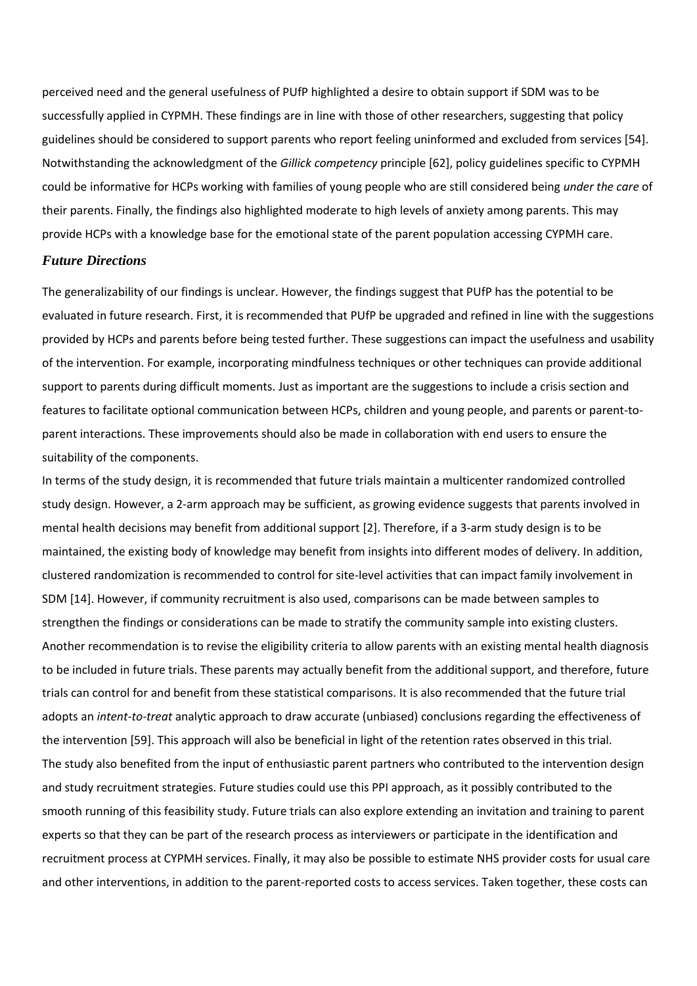perceived need and the general usefulness of PUfP highlighted a desire to obtain support if SDM was to be successfully applied in CYPMH. These findings are in line with those of other researchers, suggesting that policy guidelines should be considered to support parents who report feeling uninformed and excluded from services [54]. Notwithstanding the acknowledgment of the *Gillick competency* principle [62], policy guidelines specific to CYPMH could be informative for HCPs working with families of young people who are still considered being *under the care* of their parents. Finally, the findings also highlighted moderate to high levels of anxiety among parents. This may provide HCPs with a knowledge base for the emotional state of the parent population accessing CYPMH care.

#### *Future Directions*

The generalizability of our findings is unclear. However, the findings suggest that PUfP has the potential to be evaluated in future research. First, it is recommended that PUfP be upgraded and refined in line with the suggestions provided by HCPs and parents before being tested further. These suggestions can impact the usefulness and usability of the intervention. For example, incorporating mindfulness techniques or other techniques can provide additional support to parents during difficult moments. Just as important are the suggestions to include a crisis section and features to facilitate optional communication between HCPs, children and young people, and parents or parent-toparent interactions. These improvements should also be made in collaboration with end users to ensure the suitability of the components.

In terms of the study design, it is recommended that future trials maintain a multicenter randomized controlled study design. However, a 2-arm approach may be sufficient, as growing evidence suggests that parents involved in mental health decisions may benefit from additional support [2]. Therefore, if a 3-arm study design is to be maintained, the existing body of knowledge may benefit from insights into different modes of delivery. In addition, clustered randomization is recommended to control for site-level activities that can impact family involvement in SDM [14]. However, if community recruitment is also used, comparisons can be made between samples to strengthen the findings or considerations can be made to stratify the community sample into existing clusters. Another recommendation is to revise the eligibility criteria to allow parents with an existing mental health diagnosis to be included in future trials. These parents may actually benefit from the additional support, and therefore, future trials can control for and benefit from these statistical comparisons. It is also recommended that the future trial adopts an *intent-to-treat* analytic approach to draw accurate (unbiased) conclusions regarding the effectiveness of the intervention [59]. This approach will also be beneficial in light of the retention rates observed in this trial. The study also benefited from the input of enthusiastic parent partners who contributed to the intervention design and study recruitment strategies. Future studies could use this PPI approach, as it possibly contributed to the smooth running of this feasibility study. Future trials can also explore extending an invitation and training to parent experts so that they can be part of the research process as interviewers or participate in the identification and recruitment process at CYPMH services. Finally, it may also be possible to estimate NHS provider costs for usual care and other interventions, in addition to the parent-reported costs to access services. Taken together, these costs can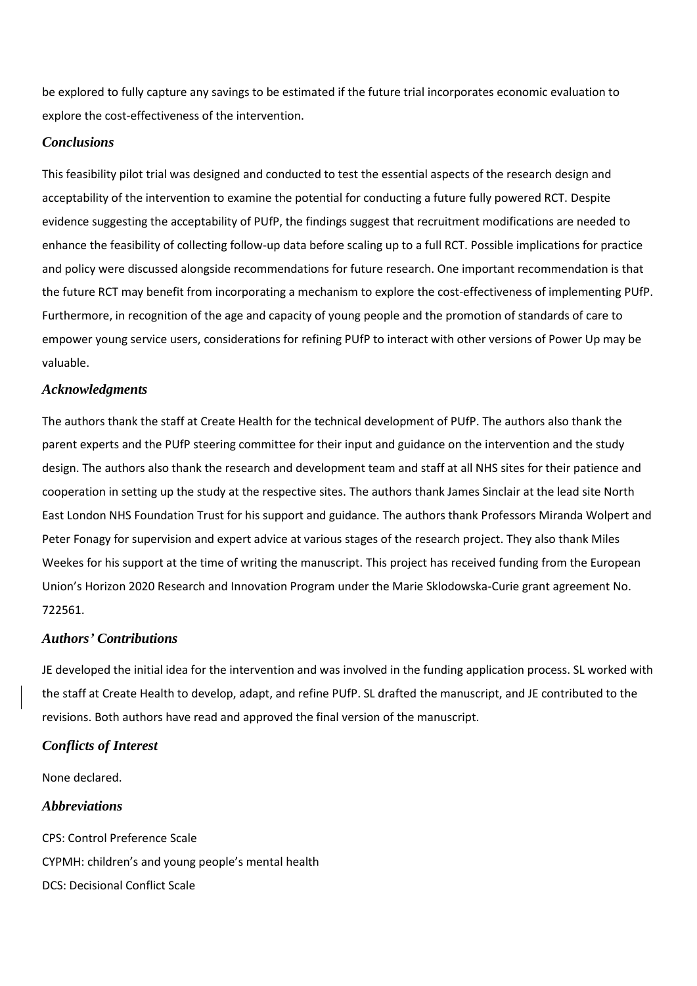be explored to fully capture any savings to be estimated if the future trial incorporates economic evaluation to explore the cost-effectiveness of the intervention.

# *Conclusions*

This feasibility pilot trial was designed and conducted to test the essential aspects of the research design and acceptability of the intervention to examine the potential for conducting a future fully powered RCT. Despite evidence suggesting the acceptability of PUfP, the findings suggest that recruitment modifications are needed to enhance the feasibility of collecting follow-up data before scaling up to a full RCT. Possible implications for practice and policy were discussed alongside recommendations for future research. One important recommendation is that the future RCT may benefit from incorporating a mechanism to explore the cost-effectiveness of implementing PUfP. Furthermore, in recognition of the age and capacity of young people and the promotion of standards of care to empower young service users, considerations for refining PUfP to interact with other versions of Power Up may be valuable.

## *Acknowledgments*

The authors thank the staff at Create Health for the technical development of PUfP. The authors also thank the parent experts and the PUfP steering committee for their input and guidance on the intervention and the study design. The authors also thank the research and development team and staff at all NHS sites for their patience and cooperation in setting up the study at the respective sites. The authors thank James Sinclair at the lead site North East London NHS Foundation Trust for his support and guidance. The authors thank Professors Miranda Wolpert and Peter Fonagy for supervision and expert advice at various stages of the research project. They also thank Miles Weekes for his support at the time of writing the manuscript. This project has received funding from the European Union's Horizon 2020 Research and Innovation Program under the Marie Sklodowska-Curie grant agreement No. 722561.

# *Authors' Contributions*

JE developed the initial idea for the intervention and was involved in the funding application process. SL worked with the staff at Create Health to develop, adapt, and refine PUfP. SL drafted the manuscript, and JE contributed to the revisions. Both authors have read and approved the final version of the manuscript.

# *Conflicts of Interest*

None declared.

# *Abbreviations*

CPS: Control Preference Scale CYPMH: children's and young people's mental health DCS: Decisional Conflict Scale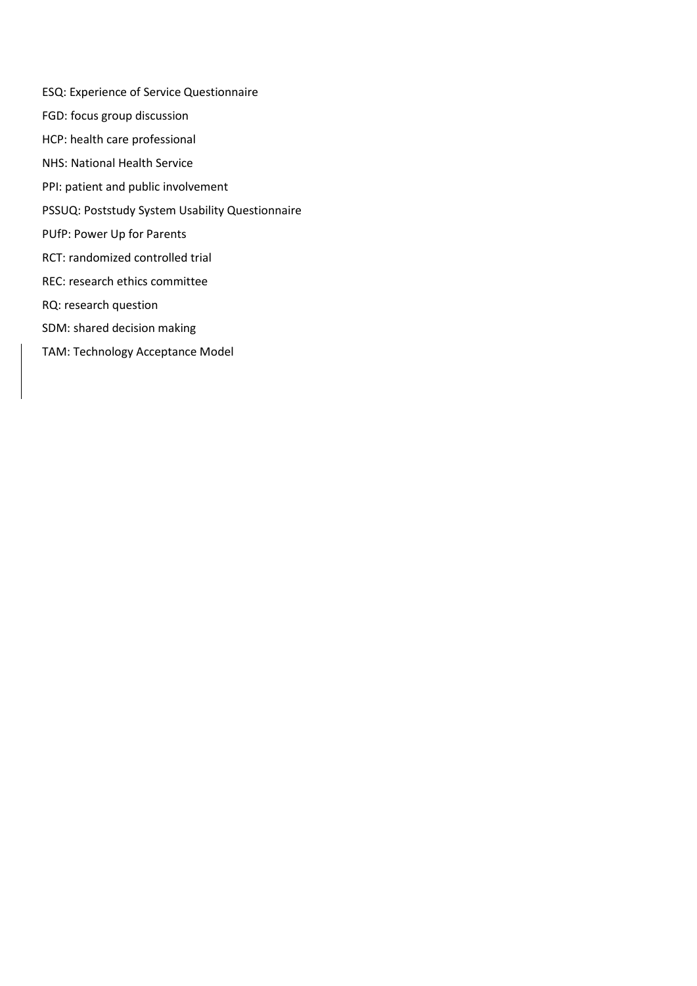- ESQ: Experience of Service Questionnaire
- FGD: focus group discussion
- HCP: health care professional
- NHS: National Health Service
- PPI: patient and public involvement
- PSSUQ: Poststudy System Usability Questionnaire
- PUfP: Power Up for Parents
- RCT: randomized controlled trial
- REC: research ethics committee
- RQ: research question
- SDM: shared decision making
- TAM: Technology Acceptance Model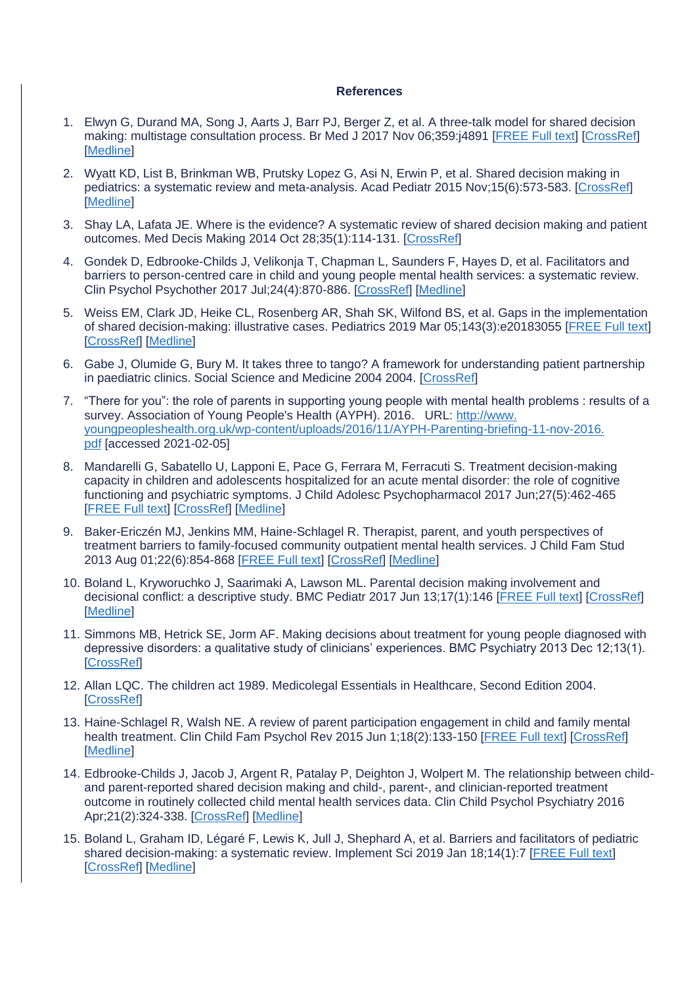## **References**

- 1. Elwyn G, Durand MA, Song J, Aarts J, Barr PJ, Berger Z, et al. A three-talk model for shared decision making: multistage consultation process. Br Med J 2017 Nov 06;359:j4891 [\[FREE Full text\]](http://www.bmj.com/lookup/pmidlookup?view=long&pmid=29109079) [\[CrossRef\]](https://dx.doi.org/10.1136/bmj.j4891) **[\[Medline\]](https://www.ncbi.nlm.nih.gov/entrez/query.fcgi?cmd=Retrieve&db=PubMed&list_uids=29109079&dopt=Abstract)**
- 2. Wyatt KD, List B, Brinkman WB, Prutsky Lopez G, Asi N, Erwin P, et al. Shared decision making in pediatrics: a systematic review and meta-analysis. Acad Pediatr 2015 Nov;15(6):573-583. [\[CrossRef\]](https://dx.doi.org/10.1016/j.acap.2015.03.011) **[\[Medline\]](https://www.ncbi.nlm.nih.gov/entrez/query.fcgi?cmd=Retrieve&db=PubMed&list_uids=25983006&dopt=Abstract)**
- 3. Shay LA, Lafata JE. Where is the evidence? A systematic review of shared decision making and patient outcomes. Med Decis Making 2014 Oct 28;35(1):114-131. [\[CrossRef\]](https://dx.doi.org/10.1177/0272989x14551638)
- 4. Gondek D, Edbrooke-Childs J, Velikonja T, Chapman L, Saunders F, Hayes D, et al. Facilitators and barriers to person-centred care in child and young people mental health services: a systematic review. Clin Psychol Psychother 2017 Jul;24(4):870-886. [\[CrossRef\]](https://dx.doi.org/10.1002/cpp.2052) [\[Medline\]](https://www.ncbi.nlm.nih.gov/entrez/query.fcgi?cmd=Retrieve&db=PubMed&list_uids=27910173&dopt=Abstract)
- 5. Weiss EM, Clark JD, Heike CL, Rosenberg AR, Shah SK, Wilfond BS, et al. Gaps in the implementation of shared decision-making: illustrative cases. Pediatrics 2019 Mar 05;143(3):e20183055 [\[FREE Full text\]](http://pediatrics.aappublications.org/cgi/pmidlookup?view=long&pmid=30824603) [\[CrossRef\]](https://dx.doi.org/10.1542/peds.2018-3055) [\[Medline\]](https://www.ncbi.nlm.nih.gov/entrez/query.fcgi?cmd=Retrieve&db=PubMed&list_uids=30824603&dopt=Abstract)
- 6. Gabe J, Olumide G, Bury M. It takes three to tango? A framework for understanding patient partnership in paediatric clinics. Social Science and Medicine 2004 2004. [\[CrossRef\]](https://dx.doi.org/10.1111/j.1365-2214.2005.00500_4.x)
- 7. "There for you": the role of parents in supporting young people with mental health problems : results of a survey. Association of Young People's Health (AYPH). 2016. URL: [http://www.](http://www.youngpeopleshealth.org.uk/wp-content/uploads/2016/11/AYPH-Parenting-briefing-11-nov-2016.pdf) [youngpeopleshealth.org.uk/wp-content/uploads/2016/11/AYPH-Parenting-briefing-11-nov-2016.](http://www.youngpeopleshealth.org.uk/wp-content/uploads/2016/11/AYPH-Parenting-briefing-11-nov-2016.pdf) [pdf](http://www.youngpeopleshealth.org.uk/wp-content/uploads/2016/11/AYPH-Parenting-briefing-11-nov-2016.pdf) [accessed 2021-02-05]
- 8. Mandarelli G, Sabatello U, Lapponi E, Pace G, Ferrara M, Ferracuti S. Treatment decision-making capacity in children and adolescents hospitalized for an acute mental disorder: the role of cognitive functioning and psychiatric symptoms. J Child Adolesc Psychopharmacol 2017 Jun;27(5):462-465 **IFREE Full textI ICrossRefI IMedline1**
- 9. Baker-Ericzén MJ, Jenkins MM, Haine-Schlagel R. Therapist, parent, and youth perspectives of treatment barriers to family-focused community outpatient mental health services. J Child Fam Stud 2013 Aug 01;22(6):854-868 [\[FREE Full text\]](http://europepmc.org/abstract/MED/24019737) [\[CrossRef\]](https://dx.doi.org/10.1007/s10826-012-9644-7) [\[Medline\]](https://www.ncbi.nlm.nih.gov/entrez/query.fcgi?cmd=Retrieve&db=PubMed&list_uids=24019737&dopt=Abstract)
- 10. Boland L, Kryworuchko J, Saarimaki A, Lawson ML. Parental decision making involvement and decisional conflict: a descriptive study. BMC Pediatr 2017 Jun 13;17(1):146 [\[FREE Full text\]](https://bmcpediatr.biomedcentral.com/articles/10.1186/s12887-017-0899-4) [\[CrossRef\]](https://dx.doi.org/10.1186/s12887-017-0899-4) [\[Medline\]](https://www.ncbi.nlm.nih.gov/entrez/query.fcgi?cmd=Retrieve&db=PubMed&list_uids=28610580&dopt=Abstract)
- 11. Simmons MB, Hetrick SE, Jorm AF. Making decisions about treatment for young people diagnosed with depressive disorders: a qualitative study of clinicians' experiences. BMC Psychiatry 2013 Dec 12;13(1). **[\[CrossRef\]](https://dx.doi.org/10.1186/1471-244x-13-335)**
- 12. Allan LQC. The children act 1989. Medicolegal Essentials in Healthcare, Second Edition 2004. **[\[CrossRef\]](https://dx.doi.org/10.1017/cbo9780511545559.018)**
- 13. Haine-Schlagel R, Walsh NE. A review of parent participation engagement in child and family mental health treatment. Clin Child Fam Psychol Rev 2015 Jun 1;18(2):133-150 [\[FREE Full text\]](http://europepmc.org/abstract/MED/25726421) [\[CrossRef\]](https://dx.doi.org/10.1007/s10567-015-0182-x) [\[Medline\]](https://www.ncbi.nlm.nih.gov/entrez/query.fcgi?cmd=Retrieve&db=PubMed&list_uids=25726421&dopt=Abstract)
- 14. Edbrooke-Childs J, Jacob J, Argent R, Patalay P, Deighton J, Wolpert M. The relationship between childand parent-reported shared decision making and child-, parent-, and clinician-reported treatment outcome in routinely collected child mental health services data. Clin Child Psychol Psychiatry 2016 Apr;21(2):324-338. [\[CrossRef\]](https://dx.doi.org/10.1177/1359104515591226) [\[Medline\]](https://www.ncbi.nlm.nih.gov/entrez/query.fcgi?cmd=Retrieve&db=PubMed&list_uids=26104790&dopt=Abstract)
- 15. Boland L, Graham ID, Légaré F, Lewis K, Jull J, Shephard A, et al. Barriers and facilitators of pediatric shared decision-making: a systematic review. Implement Sci 2019 Jan 18;14(1):7 [\[FREE Full text\]](https://implementationscience.biomedcentral.com/articles/10.1186/s13012-018-0851-5) [\[CrossRef\]](https://dx.doi.org/10.1186/s13012-018-0851-5) [\[Medline\]](https://www.ncbi.nlm.nih.gov/entrez/query.fcgi?cmd=Retrieve&db=PubMed&list_uids=30658670&dopt=Abstract)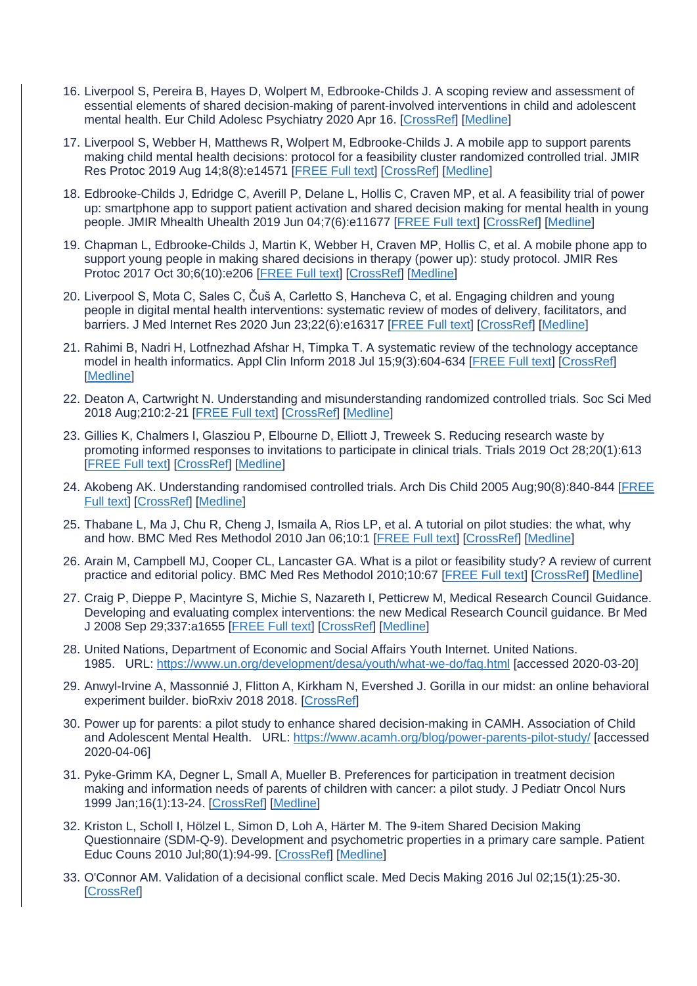- 16. Liverpool S, Pereira B, Hayes D, Wolpert M, Edbrooke-Childs J. A scoping review and assessment of essential elements of shared decision-making of parent-involved interventions in child and adolescent mental health. Eur Child Adolesc Psychiatry 2020 Apr 16. [\[CrossRef\]](https://dx.doi.org/10.1007/s00787-020-01530-7) [\[Medline\]](https://www.ncbi.nlm.nih.gov/entrez/query.fcgi?cmd=Retrieve&db=PubMed&list_uids=32300893&dopt=Abstract)
- 17. Liverpool S, Webber H, Matthews R, Wolpert M, Edbrooke-Childs J. A mobile app to support parents making child mental health decisions: protocol for a feasibility cluster randomized controlled trial. JMIR Res Protoc 2019 Aug 14;8(8):e14571 [\[FREE Full text\]](https://www.researchprotocols.org/2019/8/e14571/) [\[CrossRef\]](https://dx.doi.org/10.2196/14571) [\[Medline\]](https://www.ncbi.nlm.nih.gov/entrez/query.fcgi?cmd=Retrieve&db=PubMed&list_uids=31414665&dopt=Abstract)
- 18. Edbrooke-Childs J, Edridge C, Averill P, Delane L, Hollis C, Craven MP, et al. A feasibility trial of power up: smartphone app to support patient activation and shared decision making for mental health in young people. JMIR Mhealth Uhealth 2019 Jun 04;7(6):e11677 [\[FREE Full text\]](https://mhealth.jmir.org/2019/6/e11677/) [\[CrossRef\]](https://dx.doi.org/10.2196/11677) [\[Medline\]](https://www.ncbi.nlm.nih.gov/entrez/query.fcgi?cmd=Retrieve&db=PubMed&list_uids=31165709&dopt=Abstract)
- 19. Chapman L, Edbrooke-Childs J, Martin K, Webber H, Craven MP, Hollis C, et al. A mobile phone app to support young people in making shared decisions in therapy (power up): study protocol. JMIR Res Protoc 2017 Oct 30;6(10):e206 [\[FREE Full text\]](https://www.researchprotocols.org/2017/10/e206/) [\[CrossRef\]](https://dx.doi.org/10.2196/resprot.7694) [\[Medline\]](https://www.ncbi.nlm.nih.gov/entrez/query.fcgi?cmd=Retrieve&db=PubMed&list_uids=29084708&dopt=Abstract)
- 20. Liverpool S, Mota C, Sales C, Čuš A, Carletto S, Hancheva C, et al. Engaging children and young people in digital mental health interventions: systematic review of modes of delivery, facilitators, and barriers. J Med Internet Res 2020 Jun 23;22(6):e16317 [\[FREE Full text\]](https://www.jmir.org/2020/6/e16317/) [\[CrossRef\]](https://dx.doi.org/10.2196/16317) [\[Medline\]](https://www.ncbi.nlm.nih.gov/entrez/query.fcgi?cmd=Retrieve&db=PubMed&list_uids=32442160&dopt=Abstract)
- 21. Rahimi B, Nadri H, Lotfnezhad Afshar H, Timpka T. A systematic review of the technology acceptance model in health informatics. Appl Clin Inform 2018 Jul 15;9(3):604-634 [\[FREE Full text\]](http://europepmc.org/abstract/MED/30112741) [\[CrossRef\]](https://dx.doi.org/10.1055/s-0038-1668091) [\[Medline\]](https://www.ncbi.nlm.nih.gov/entrez/query.fcgi?cmd=Retrieve&db=PubMed&list_uids=30112741&dopt=Abstract)
- 22. Deaton A, Cartwright N. Understanding and misunderstanding randomized controlled trials. Soc Sci Med 2018 Aug;210:2-21 [\[FREE Full text\]](https://linkinghub.elsevier.com/retrieve/pii/S0277-9536(17)30735-9) [\[CrossRef\]](https://dx.doi.org/10.1016/j.socscimed.2017.12.005) [\[Medline\]](https://www.ncbi.nlm.nih.gov/entrez/query.fcgi?cmd=Retrieve&db=PubMed&list_uids=29331519&dopt=Abstract)
- 23. Gillies K, Chalmers I, Glasziou P, Elbourne D, Elliott J, Treweek S. Reducing research waste by promoting informed responses to invitations to participate in clinical trials. Trials 2019 Oct 28;20(1):613 [\[FREE Full text\]](https://trialsjournal.biomedcentral.com/articles/10.1186/s13063-019-3704-x) [\[CrossRef\]](https://dx.doi.org/10.1186/s13063-019-3704-x) [\[Medline\]](https://www.ncbi.nlm.nih.gov/entrez/query.fcgi?cmd=Retrieve&db=PubMed&list_uids=31661029&dopt=Abstract)
- 24. Akobeng AK. Understanding randomised controlled trials. Arch Dis Child 2005 Aug;90(8):840-844 [\[FREE](https://adc.bmj.com/lookup/pmidlookup?view=long&pmid=16040885)  [Full text\]](https://adc.bmj.com/lookup/pmidlookup?view=long&pmid=16040885) [\[CrossRef\]](https://dx.doi.org/10.1136/adc.2004.058222) [\[Medline\]](https://www.ncbi.nlm.nih.gov/entrez/query.fcgi?cmd=Retrieve&db=PubMed&list_uids=16040885&dopt=Abstract)
- 25. Thabane L, Ma J, Chu R, Cheng J, Ismaila A, Rios LP, et al. A tutorial on pilot studies: the what, why and how. BMC Med Res Methodol 2010 Jan 06;10:1 [\[FREE Full text\]](https://bmcmedresmethodol.biomedcentral.com/articles/10.1186/1471-2288-10-1) [\[CrossRef\]](https://dx.doi.org/10.1186/1471-2288-10-1) [\[Medline\]](https://www.ncbi.nlm.nih.gov/entrez/query.fcgi?cmd=Retrieve&db=PubMed&list_uids=20053272&dopt=Abstract)
- 26. Arain M, Campbell MJ, Cooper CL, Lancaster GA. What is a pilot or feasibility study? A review of current practice and editorial policy. BMC Med Res Methodol 2010;10:67 [\[FREE Full text\]](http://www.biomedcentral.com/1471-2288/10/67) [\[CrossRef\]](https://dx.doi.org/10.1186/1471-2288-10-67) [\[Medline\]](https://www.ncbi.nlm.nih.gov/entrez/query.fcgi?cmd=Retrieve&db=PubMed&list_uids=20637084&dopt=Abstract)
- 27. Craig P, Dieppe P, Macintyre S, Michie S, Nazareth I, Petticrew M, Medical Research Council Guidance. Developing and evaluating complex interventions: the new Medical Research Council guidance. Br Med J 2008 Sep 29;337:a1655 [\[FREE Full text\]](http://europepmc.org/abstract/MED/18824488) [\[CrossRef\]](https://dx.doi.org/10.1136/bmj.a1655) [\[Medline\]](https://www.ncbi.nlm.nih.gov/entrez/query.fcgi?cmd=Retrieve&db=PubMed&list_uids=18824488&dopt=Abstract)
- 28. United Nations, Department of Economic and Social Affairs Youth Internet. United Nations. 1985. URL: <https://www.un.org/development/desa/youth/what-we-do/faq.html> [accessed 2020-03-20]
- 29. Anwyl-Irvine A, Massonnié J, Flitton A, Kirkham N, Evershed J. Gorilla in our midst: an online behavioral experiment builder. bioRxiv 2018 2018. [\[CrossRef\]](https://dx.doi.org/10.1101/438242)
- 30. Power up for parents: a pilot study to enhance shared decision-making in CAMH. Association of Child and Adolescent Mental Health. URL: <https://www.acamh.org/blog/power-parents-pilot-study/> [accessed 2020-04-06]
- 31. Pyke-Grimm KA, Degner L, Small A, Mueller B. Preferences for participation in treatment decision making and information needs of parents of children with cancer: a pilot study. J Pediatr Oncol Nurs 1999 Jan;16(1):13-24. [\[CrossRef\]](https://dx.doi.org/10.1177/104345429901600103) [\[Medline\]](https://www.ncbi.nlm.nih.gov/entrez/query.fcgi?cmd=Retrieve&db=PubMed&list_uids=9989013&dopt=Abstract)
- 32. Kriston L, Scholl I, Hölzel L, Simon D, Loh A, Härter M. The 9-item Shared Decision Making Questionnaire (SDM-Q-9). Development and psychometric properties in a primary care sample. Patient Educ Couns 2010 Jul;80(1):94-99. [\[CrossRef\]](https://dx.doi.org/10.1016/j.pec.2009.09.034) [\[Medline\]](https://www.ncbi.nlm.nih.gov/entrez/query.fcgi?cmd=Retrieve&db=PubMed&list_uids=19879711&dopt=Abstract)
- 33. O'Connor AM. Validation of a decisional conflict scale. Med Decis Making 2016 Jul 02;15(1):25-30. [\[CrossRef\]](https://dx.doi.org/10.1177/0272989x9501500105)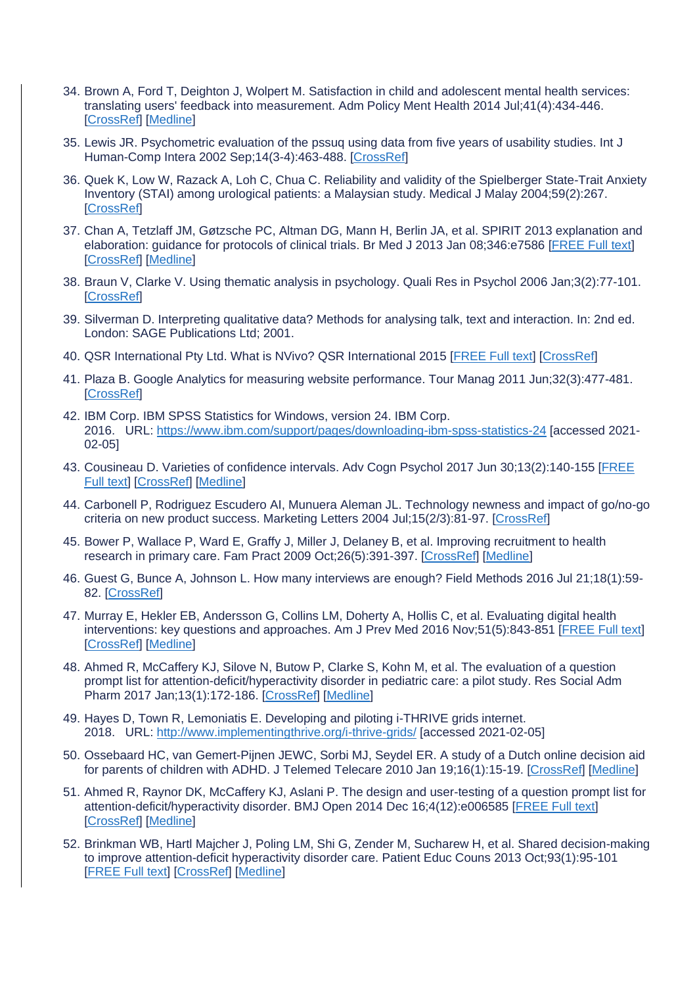- 34. Brown A, Ford T, Deighton J, Wolpert M. Satisfaction in child and adolescent mental health services: translating users' feedback into measurement. Adm Policy Ment Health 2014 Jul;41(4):434-446. [\[CrossRef\]](https://dx.doi.org/10.1007/s10488-012-0433-9) [\[Medline\]](https://www.ncbi.nlm.nih.gov/entrez/query.fcgi?cmd=Retrieve&db=PubMed&list_uids=22829193&dopt=Abstract)
- 35. Lewis JR. Psychometric evaluation of the pssuq using data from five years of usability studies. Int J Human-Comp Intera 2002 Sep;14(3-4):463-488. [\[CrossRef\]](https://dx.doi.org/10.1080/10447318.2002.9669130)
- 36. Quek K, Low W, Razack A, Loh C, Chua C. Reliability and validity of the Spielberger State-Trait Anxiety Inventory (STAI) among urological patients: a Malaysian study. Medical J Malay 2004;59(2):267. [\[CrossRef\]](https://dx.doi.org/10.1002/9780470479216.corpsy0943)
- 37. Chan A, Tetzlaff JM, Gøtzsche PC, Altman DG, Mann H, Berlin JA, et al. SPIRIT 2013 explanation and elaboration: guidance for protocols of clinical trials. Br Med J 2013 Jan 08;346:e7586 [\[FREE Full text\]](http://www.bmj.com/lookup/pmidlookup?view=long&pmid=23303884) [\[CrossRef\]](https://dx.doi.org/10.1136/bmj.e7586) [\[Medline\]](https://www.ncbi.nlm.nih.gov/entrez/query.fcgi?cmd=Retrieve&db=PubMed&list_uids=23303884&dopt=Abstract)
- 38. Braun V, Clarke V. Using thematic analysis in psychology. Quali Res in Psychol 2006 Jan;3(2):77-101. **[\[CrossRef\]](https://dx.doi.org/10.1191/1478088706qp063oa)**
- 39. Silverman D. Interpreting qualitative data? Methods for analysing talk, text and interaction. In: 2nd ed. London: SAGE Publications Ltd; 2001.
- 40. QSR International Pty Ltd. What is NVivo? QSR International 2015 [\[FREE Full text\]](https://www.qsrinternational.com/) [\[CrossRef\]](https://dx.doi.org/10.1016/j.bbapap.2010.04.001.Molecular)
- 41. Plaza B. Google Analytics for measuring website performance. Tour Manag 2011 Jun;32(3):477-481. [\[CrossRef\]](https://dx.doi.org/10.1016/j.tourman.2010.03.015)
- 42. IBM Corp. IBM SPSS Statistics for Windows, version 24. IBM Corp. 2016. URL: <https://www.ibm.com/support/pages/downloading-ibm-spss-statistics-24> [accessed 2021- 02-05]
- 43. Cousineau D. Varieties of confidence intervals. Adv Cogn Psychol 2017 Jun 30;13(2):140-155 [\[FREE](http://europepmc.org/abstract/MED/28729890)  [Full text\]](http://europepmc.org/abstract/MED/28729890) [\[CrossRef\]](https://dx.doi.org/10.5709/acp-0214-z) [\[Medline\]](https://www.ncbi.nlm.nih.gov/entrez/query.fcgi?cmd=Retrieve&db=PubMed&list_uids=28729890&dopt=Abstract)
- 44. Carbonell P, Rodriguez Escudero AI, Munuera Aleman JL. Technology newness and impact of go/no-go criteria on new product success. Marketing Letters 2004 Jul;15(2/3):81-97. [\[CrossRef\]](https://dx.doi.org/10.1023/b:mark.0000047386.33282.51)
- 45. Bower P, Wallace P, Ward E, Graffy J, Miller J, Delaney B, et al. Improving recruitment to health research in primary care. Fam Pract 2009 Oct;26(5):391-397. [\[CrossRef\]](https://dx.doi.org/10.1093/fampra/cmp037) [\[Medline\]](https://www.ncbi.nlm.nih.gov/entrez/query.fcgi?cmd=Retrieve&db=PubMed&list_uids=19549623&dopt=Abstract)
- 46. Guest G, Bunce A, Johnson L. How many interviews are enough? Field Methods 2016 Jul 21;18(1):59- 82. [\[CrossRef\]](https://dx.doi.org/10.1177/1525822X05279903)
- 47. Murray E, Hekler EB, Andersson G, Collins LM, Doherty A, Hollis C, et al. Evaluating digital health interventions: key questions and approaches. Am J Prev Med 2016 Nov;51(5):843-851 [\[FREE Full text\]](http://europepmc.org/abstract/MED/27745684) [\[CrossRef\]](https://dx.doi.org/10.1016/j.amepre.2016.06.008) [\[Medline\]](https://www.ncbi.nlm.nih.gov/entrez/query.fcgi?cmd=Retrieve&db=PubMed&list_uids=27745684&dopt=Abstract)
- 48. Ahmed R, McCaffery KJ, Silove N, Butow P, Clarke S, Kohn M, et al. The evaluation of a question prompt list for attention-deficit/hyperactivity disorder in pediatric care: a pilot study. Res Social Adm Pharm 2017 Jan;13(1):172-186. [\[CrossRef\]](https://dx.doi.org/10.1016/j.sapharm.2016.01.009) [\[Medline\]](https://www.ncbi.nlm.nih.gov/entrez/query.fcgi?cmd=Retrieve&db=PubMed&list_uids=27086063&dopt=Abstract)
- 49. Hayes D, Town R, Lemoniatis E. Developing and piloting i-THRIVE grids internet. 2018. URL: <http://www.implementingthrive.org/i-thrive-grids/> [accessed 2021-02-05]
- 50. Ossebaard HC, van Gemert-Pijnen JEWC, Sorbi MJ, Seydel ER. A study of a Dutch online decision aid for parents of children with ADHD. J Telemed Telecare 2010 Jan 19;16(1):15-19. [\[CrossRef\]](https://dx.doi.org/10.1258/jtt.2009.001006) [\[Medline\]](https://www.ncbi.nlm.nih.gov/entrez/query.fcgi?cmd=Retrieve&db=PubMed&list_uids=20086262&dopt=Abstract)
- 51. Ahmed R, Raynor DK, McCaffery KJ, Aslani P. The design and user-testing of a question prompt list for attention-deficit/hyperactivity disorder. BMJ Open 2014 Dec 16;4(12):e006585 [\[FREE Full text\]](https://bmjopen.bmj.com/lookup/pmidlookup?view=long&pmid=25515843) [\[CrossRef\]](https://dx.doi.org/10.1136/bmjopen-2014-006585) [\[Medline\]](https://www.ncbi.nlm.nih.gov/entrez/query.fcgi?cmd=Retrieve&db=PubMed&list_uids=25515843&dopt=Abstract)
- 52. Brinkman WB, Hartl Majcher J, Poling LM, Shi G, Zender M, Sucharew H, et al. Shared decision-making to improve attention-deficit hyperactivity disorder care. Patient Educ Couns 2013 Oct;93(1):95-101 [\[FREE Full text\]](http://europepmc.org/abstract/MED/23669153) [\[CrossRef\]](https://dx.doi.org/10.1016/j.pec.2013.04.009) [\[Medline\]](https://www.ncbi.nlm.nih.gov/entrez/query.fcgi?cmd=Retrieve&db=PubMed&list_uids=23669153&dopt=Abstract)